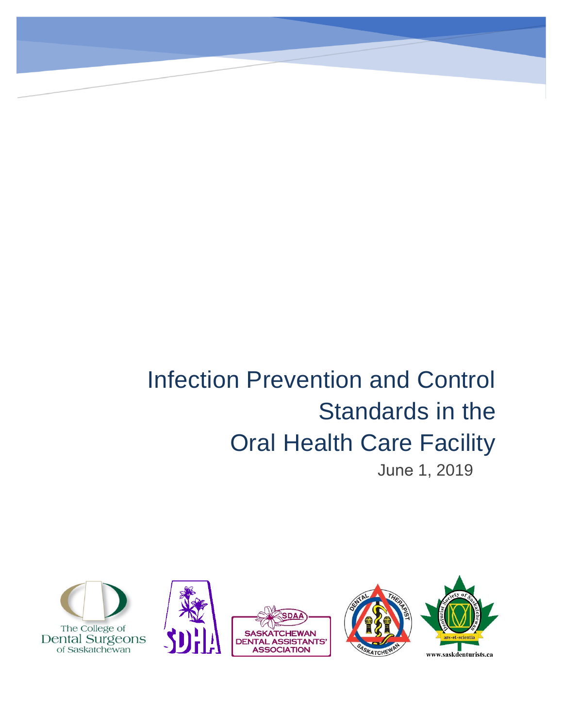# Infection Prevention and Control Standards in the Oral Health Care Facility

June 1, 2019

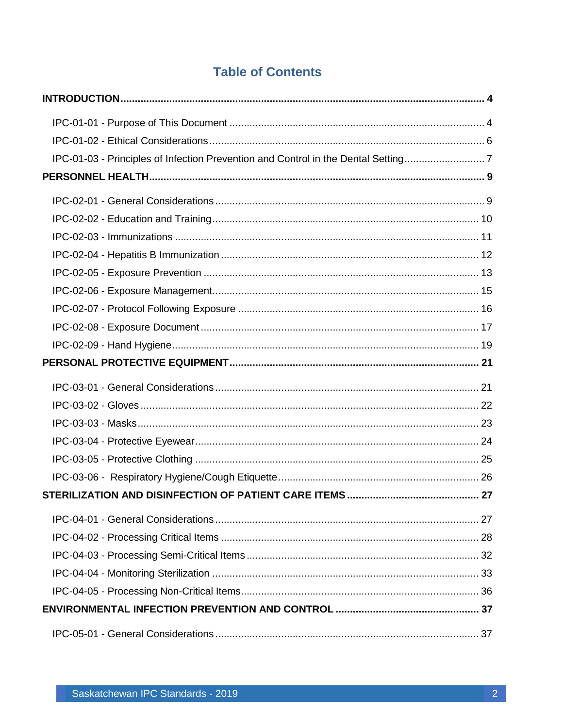## **Table of Contents**

| IPC-01-03 - Principles of Infection Prevention and Control in the Dental Setting7 |  |
|-----------------------------------------------------------------------------------|--|
|                                                                                   |  |
|                                                                                   |  |
|                                                                                   |  |
|                                                                                   |  |
|                                                                                   |  |
|                                                                                   |  |
|                                                                                   |  |
|                                                                                   |  |
|                                                                                   |  |
|                                                                                   |  |
|                                                                                   |  |
|                                                                                   |  |
|                                                                                   |  |
|                                                                                   |  |
|                                                                                   |  |
|                                                                                   |  |
|                                                                                   |  |
|                                                                                   |  |
|                                                                                   |  |
|                                                                                   |  |
|                                                                                   |  |
|                                                                                   |  |
|                                                                                   |  |
|                                                                                   |  |
|                                                                                   |  |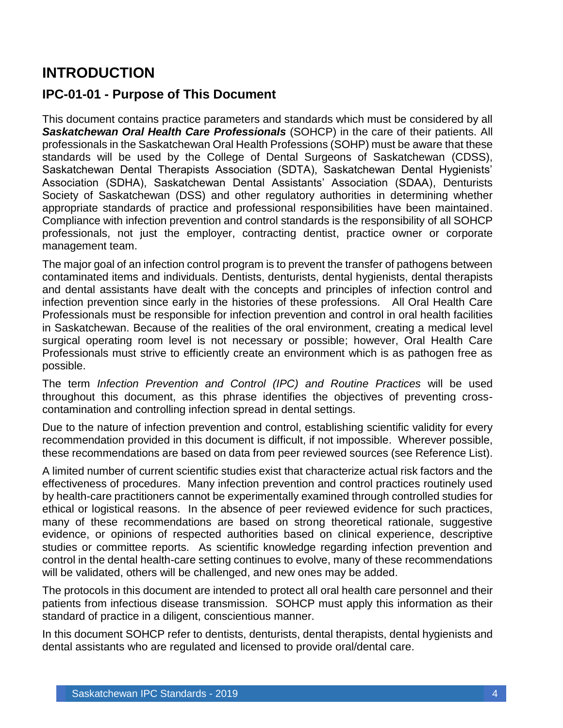# <span id="page-4-0"></span>**INTRODUCTION**

#### <span id="page-4-1"></span>**IPC-01-01 - Purpose of This Document**

This document contains practice parameters and standards which must be considered by all *Saskatchewan Oral Health Care Professionals* (SOHCP) in the care of their patients. All professionals in the Saskatchewan Oral Health Professions (SOHP) must be aware that these standards will be used by the College of Dental Surgeons of Saskatchewan (CDSS), Saskatchewan Dental Therapists Association (SDTA), Saskatchewan Dental Hygienists' Association (SDHA), Saskatchewan Dental Assistants' Association (SDAA), Denturists Society of Saskatchewan (DSS) and other regulatory authorities in determining whether appropriate standards of practice and professional responsibilities have been maintained. Compliance with infection prevention and control standards is the responsibility of all SOHCP professionals, not just the employer, contracting dentist, practice owner or corporate management team.

The major goal of an infection control program is to prevent the transfer of pathogens between contaminated items and individuals. Dentists, denturists, dental hygienists, dental therapists and dental assistants have dealt with the concepts and principles of infection control and infection prevention since early in the histories of these professions. All Oral Health Care Professionals must be responsible for infection prevention and control in oral health facilities in Saskatchewan. Because of the realities of the oral environment, creating a medical level surgical operating room level is not necessary or possible; however, Oral Health Care Professionals must strive to efficiently create an environment which is as pathogen free as possible.

The term *Infection Prevention and Control (IPC) and Routine Practices* will be used throughout this document, as this phrase identifies the objectives of preventing crosscontamination and controlling infection spread in dental settings.

Due to the nature of infection prevention and control, establishing scientific validity for every recommendation provided in this document is difficult, if not impossible. Wherever possible, these recommendations are based on data from peer reviewed sources (see Reference List).

A limited number of current scientific studies exist that characterize actual risk factors and the effectiveness of procedures. Many infection prevention and control practices routinely used by health-care practitioners cannot be experimentally examined through controlled studies for ethical or logistical reasons. In the absence of peer reviewed evidence for such practices, many of these recommendations are based on strong theoretical rationale, suggestive evidence, or opinions of respected authorities based on clinical experience, descriptive studies or committee reports. As scientific knowledge regarding infection prevention and control in the dental health-care setting continues to evolve, many of these recommendations will be validated, others will be challenged, and new ones may be added.

The protocols in this document are intended to protect all oral health care personnel and their patients from infectious disease transmission. SOHCP must apply this information as their standard of practice in a diligent, conscientious manner.

In this document SOHCP refer to dentists, denturists, dental therapists, dental hygienists and dental assistants who are regulated and licensed to provide oral/dental care.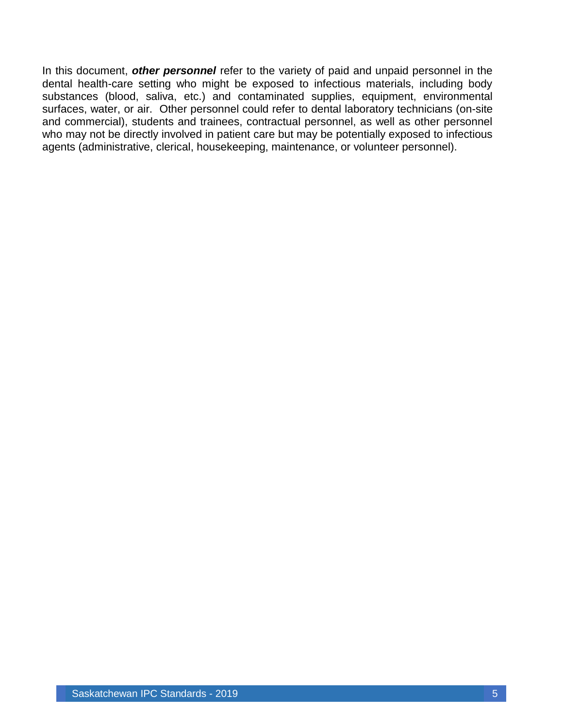In this document, *other personnel* refer to the variety of paid and unpaid personnel in the dental health-care setting who might be exposed to infectious materials, including body substances (blood, saliva, etc.) and contaminated supplies, equipment, environmental surfaces, water, or air. Other personnel could refer to dental laboratory technicians (on-site and commercial), students and trainees, contractual personnel, as well as other personnel who may not be directly involved in patient care but may be potentially exposed to infectious agents (administrative, clerical, housekeeping, maintenance, or volunteer personnel).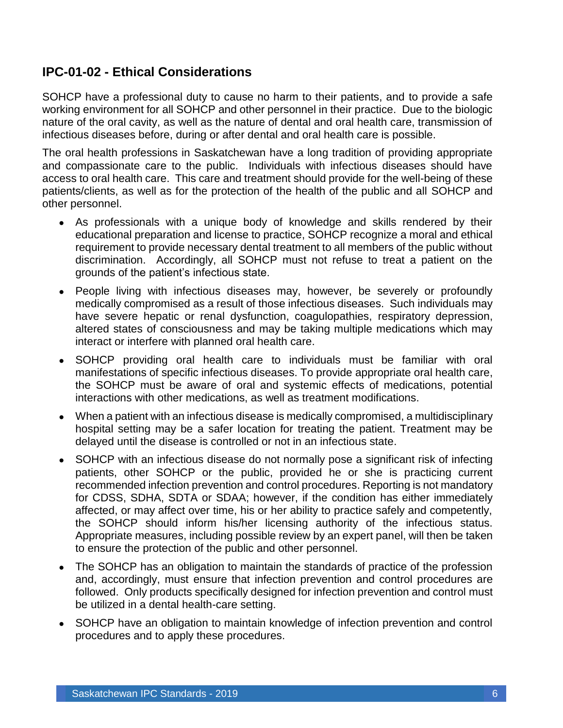### <span id="page-6-0"></span>**IPC-01-02 - Ethical Considerations**

SOHCP have a professional duty to cause no harm to their patients, and to provide a safe working environment for all SOHCP and other personnel in their practice. Due to the biologic nature of the oral cavity, as well as the nature of dental and oral health care, transmission of infectious diseases before, during or after dental and oral health care is possible.

The oral health professions in Saskatchewan have a long tradition of providing appropriate and compassionate care to the public. Individuals with infectious diseases should have access to oral health care. This care and treatment should provide for the well-being of these patients/clients, as well as for the protection of the health of the public and all SOHCP and other personnel.

- As professionals with a unique body of knowledge and skills rendered by their educational preparation and license to practice, SOHCP recognize a moral and ethical requirement to provide necessary dental treatment to all members of the public without discrimination. Accordingly, all SOHCP must not refuse to treat a patient on the grounds of the patient's infectious state.
- People living with infectious diseases may, however, be severely or profoundly medically compromised as a result of those infectious diseases. Such individuals may have severe hepatic or renal dysfunction, coagulopathies, respiratory depression, altered states of consciousness and may be taking multiple medications which may interact or interfere with planned oral health care.
- SOHCP providing oral health care to individuals must be familiar with oral manifestations of specific infectious diseases. To provide appropriate oral health care, the SOHCP must be aware of oral and systemic effects of medications, potential interactions with other medications, as well as treatment modifications.
- When a patient with an infectious disease is medically compromised, a multidisciplinary hospital setting may be a safer location for treating the patient. Treatment may be delayed until the disease is controlled or not in an infectious state.
- SOHCP with an infectious disease do not normally pose a significant risk of infecting patients, other SOHCP or the public, provided he or she is practicing current recommended infection prevention and control procedures. Reporting is not mandatory for CDSS, SDHA, SDTA or SDAA; however, if the condition has either immediately affected, or may affect over time, his or her ability to practice safely and competently, the SOHCP should inform his/her licensing authority of the infectious status. Appropriate measures, including possible review by an expert panel, will then be taken to ensure the protection of the public and other personnel.
- The SOHCP has an obligation to maintain the standards of practice of the profession and, accordingly, must ensure that infection prevention and control procedures are followed. Only products specifically designed for infection prevention and control must be utilized in a dental health-care setting.
- SOHCP have an obligation to maintain knowledge of infection prevention and control procedures and to apply these procedures.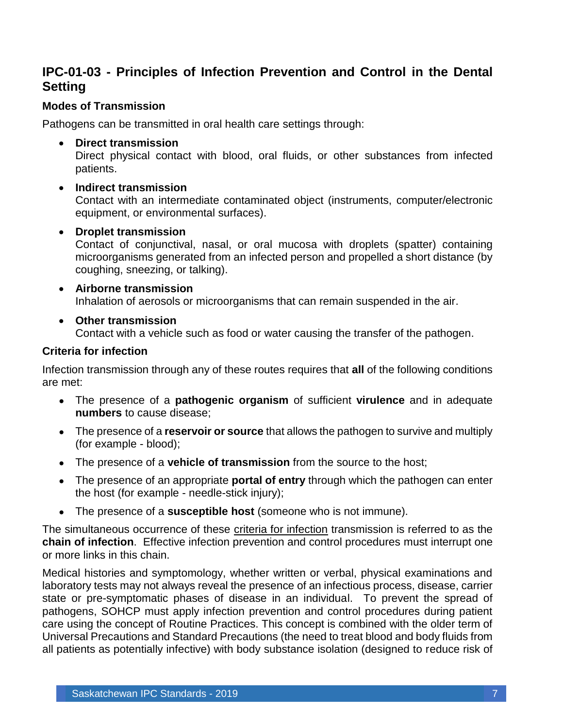### <span id="page-7-0"></span>**IPC-01-03 - Principles of Infection Prevention and Control in the Dental Setting**

#### **Modes of Transmission**

Pathogens can be transmitted in oral health care settings through:

• **Direct transmission**

Direct physical contact with blood, oral fluids, or other substances from infected patients.

• **Indirect transmission**

Contact with an intermediate contaminated object (instruments, computer/electronic equipment, or environmental surfaces).

#### • **Droplet transmission**

Contact of conjunctival, nasal, or oral mucosa with droplets (spatter) containing microorganisms generated from an infected person and propelled a short distance (by coughing, sneezing, or talking).

- **Airborne transmission** Inhalation of aerosols or microorganisms that can remain suspended in the air.
- **Other transmission** Contact with a vehicle such as food or water causing the transfer of the pathogen.

#### **Criteria for infection**

Infection transmission through any of these routes requires that **all** of the following conditions are met:

- The presence of a **pathogenic organism** of sufficient **virulence** and in adequate **numbers** to cause disease;
- The presence of a **reservoir or source** that allows the pathogen to survive and multiply (for example - blood);
- The presence of a **vehicle of transmission** from the source to the host;
- The presence of an appropriate **portal of entry** through which the pathogen can enter the host (for example - needle-stick injury);
- The presence of a **susceptible host** (someone who is not immune).

The simultaneous occurrence of these criteria for infection transmission is referred to as the **chain of infection**. Effective infection prevention and control procedures must interrupt one or more links in this chain.

Medical histories and symptomology, whether written or verbal, physical examinations and laboratory tests may not always reveal the presence of an infectious process, disease, carrier state or pre-symptomatic phases of disease in an individual. To prevent the spread of pathogens, SOHCP must apply infection prevention and control procedures during patient care using the concept of Routine Practices. This concept is combined with the older term of Universal Precautions and Standard Precautions (the need to treat blood and body fluids from all patients as potentially infective) with body substance isolation (designed to reduce risk of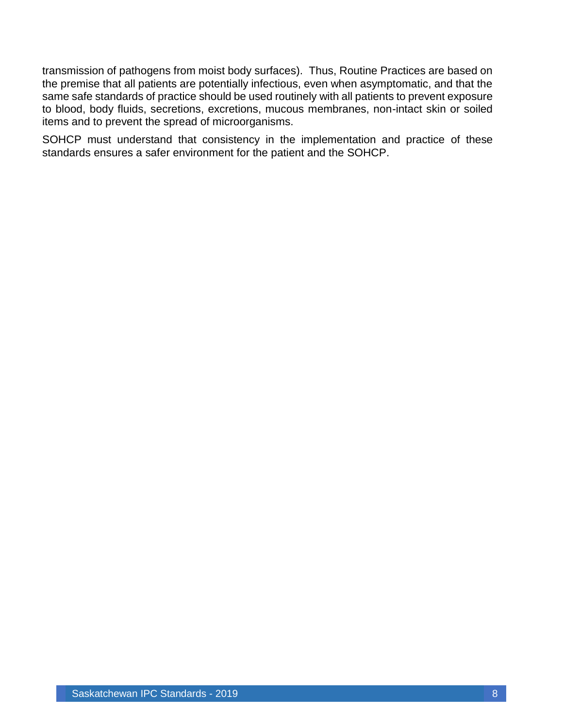transmission of pathogens from moist body surfaces). Thus, Routine Practices are based on the premise that all patients are potentially infectious, even when asymptomatic, and that the same safe standards of practice should be used routinely with all patients to prevent exposure to blood, body fluids, secretions, excretions, mucous membranes, non-intact skin or soiled items and to prevent the spread of microorganisms.

SOHCP must understand that consistency in the implementation and practice of these standards ensures a safer environment for the patient and the SOHCP.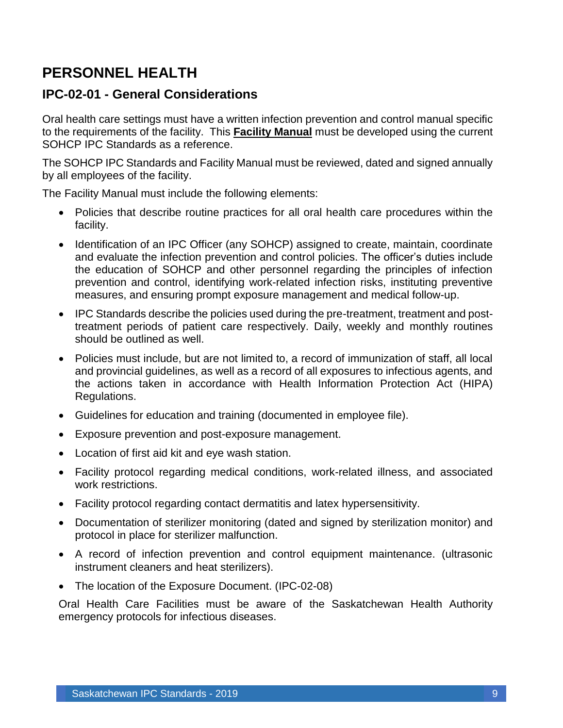# <span id="page-9-0"></span>**PERSONNEL HEALTH**

#### <span id="page-9-1"></span>**IPC-02-01 - General Considerations**

Oral health care settings must have a written infection prevention and control manual specific to the requirements of the facility. This **Facility Manual** must be developed using the current SOHCP IPC Standards as a reference.

The SOHCP IPC Standards and Facility Manual must be reviewed, dated and signed annually by all employees of the facility.

The Facility Manual must include the following elements:

- Policies that describe routine practices for all oral health care procedures within the facility.
- Identification of an IPC Officer (any SOHCP) assigned to create, maintain, coordinate and evaluate the infection prevention and control policies. The officer's duties include the education of SOHCP and other personnel regarding the principles of infection prevention and control, identifying work-related infection risks, instituting preventive measures, and ensuring prompt exposure management and medical follow-up.
- IPC Standards describe the policies used during the pre-treatment, treatment and posttreatment periods of patient care respectively. Daily, weekly and monthly routines should be outlined as well.
- Policies must include, but are not limited to, a record of immunization of staff, all local and provincial guidelines, as well as a record of all exposures to infectious agents, and the actions taken in accordance with Health Information Protection Act (HIPA) Regulations.
- Guidelines for education and training (documented in employee file).
- Exposure prevention and post-exposure management.
- Location of first aid kit and eye wash station.
- Facility protocol regarding medical conditions, work-related illness, and associated work restrictions.
- Facility protocol regarding contact dermatitis and latex hypersensitivity.
- Documentation of sterilizer monitoring (dated and signed by sterilization monitor) and protocol in place for sterilizer malfunction.
- A record of infection prevention and control equipment maintenance. (ultrasonic instrument cleaners and heat sterilizers).
- The location of the Exposure Document. (IPC-02-08)

Oral Health Care Facilities must be aware of the Saskatchewan Health Authority emergency protocols for infectious diseases.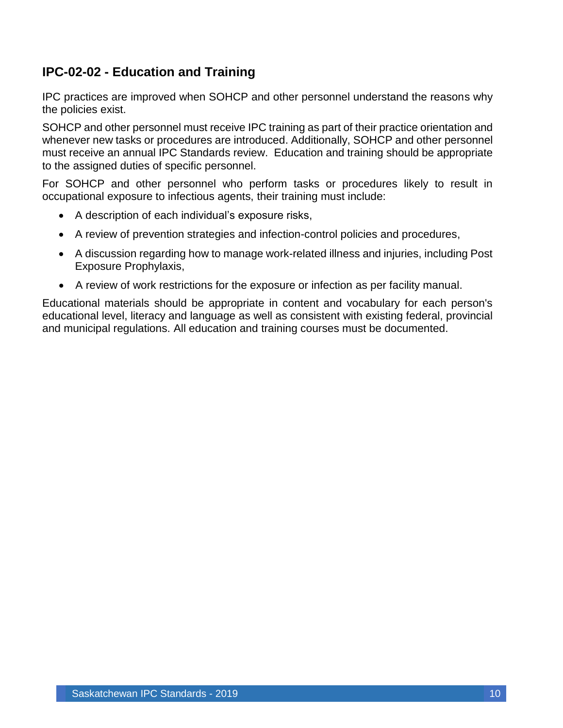### <span id="page-10-0"></span>**IPC-02-02 - Education and Training**

IPC practices are improved when SOHCP and other personnel understand the reasons why the policies exist.

SOHCP and other personnel must receive IPC training as part of their practice orientation and whenever new tasks or procedures are introduced. Additionally, SOHCP and other personnel must receive an annual IPC Standards review. Education and training should be appropriate to the assigned duties of specific personnel.

For SOHCP and other personnel who perform tasks or procedures likely to result in occupational exposure to infectious agents, their training must include:

- A description of each individual's exposure risks,
- A review of prevention strategies and infection-control policies and procedures,
- A discussion regarding how to manage work-related illness and injuries, including Post Exposure Prophylaxis,
- A review of work restrictions for the exposure or infection as per facility manual.

Educational materials should be appropriate in content and vocabulary for each person's educational level, literacy and language as well as consistent with existing federal, provincial and municipal regulations. All education and training courses must be documented.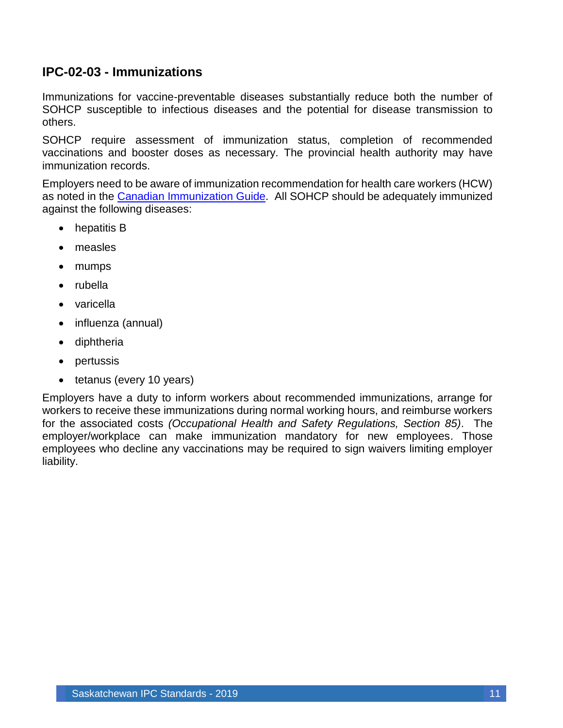### <span id="page-11-0"></span>**IPC-02-03 - Immunizations**

Immunizations for vaccine-preventable diseases substantially reduce both the number of SOHCP susceptible to infectious diseases and the potential for disease transmission to others.

SOHCP require assessment of immunization status, completion of recommended vaccinations and booster doses as necessary. The provincial health authority may have immunization records.

Employers need to be aware of immunization recommendation for health care workers (HCW) as noted in the Canadian [Immunization Guide.](https://www.canada.ca/en/public-health/services/publications/healthy-living/canadian-immunization-guide-part-3-vaccination-specific-populations/page-11-immunization-workers.html) All SOHCP should be adequately immunized against the following diseases:

- hepatitis B
- measles
- mumps
- rubella
- varicella
- influenza (annual)
- diphtheria
- pertussis
- tetanus (every 10 years)

Employers have a duty to inform workers about recommended immunizations, arrange for workers to receive these immunizations during normal working hours, and reimburse workers for the associated costs *(Occupational Health and Safety Regulations, Section 85)*. The employer/workplace can make immunization mandatory for new employees. Those employees who decline any vaccinations may be required to sign waivers limiting employer liability.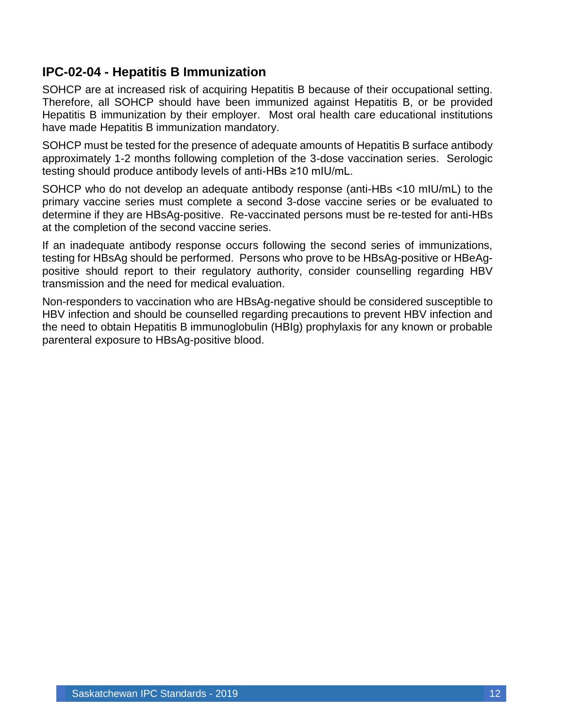### <span id="page-12-0"></span>**IPC-02-04 - Hepatitis B Immunization**

SOHCP are at increased risk of acquiring Hepatitis B because of their occupational setting. Therefore, all SOHCP should have been immunized against Hepatitis B, or be provided Hepatitis B immunization by their employer. Most oral health care educational institutions have made Hepatitis B immunization mandatory.

SOHCP must be tested for the presence of adequate amounts of Hepatitis B surface antibody approximately 1-2 months following completion of the 3-dose vaccination series. Serologic testing should produce antibody levels of anti-HBs ≥10 mIU/mL.

SOHCP who do not develop an adequate antibody response (anti-HBs <10 mIU/mL) to the primary vaccine series must complete a second 3-dose vaccine series or be evaluated to determine if they are HBsAg-positive. Re-vaccinated persons must be re-tested for anti-HBs at the completion of the second vaccine series.

If an inadequate antibody response occurs following the second series of immunizations, testing for HBsAg should be performed. Persons who prove to be HBsAg-positive or HBeAgpositive should report to their regulatory authority, consider counselling regarding HBV transmission and the need for medical evaluation.

Non-responders to vaccination who are HBsAg-negative should be considered susceptible to HBV infection and should be counselled regarding precautions to prevent HBV infection and the need to obtain Hepatitis B immunoglobulin (HBIg) prophylaxis for any known or probable parenteral exposure to HBsAg-positive blood.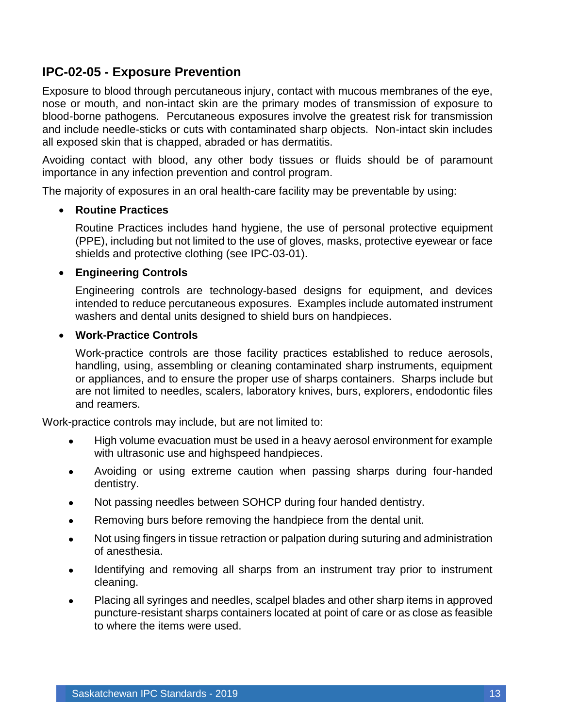### <span id="page-13-0"></span>**IPC-02-05 - Exposure Prevention**

Exposure to blood through percutaneous injury, contact with mucous membranes of the eye, nose or mouth, and non-intact skin are the primary modes of transmission of exposure to blood-borne pathogens. Percutaneous exposures involve the greatest risk for transmission and include needle-sticks or cuts with contaminated sharp objects. Non-intact skin includes all exposed skin that is chapped, abraded or has dermatitis.

Avoiding contact with blood, any other body tissues or fluids should be of paramount importance in any infection prevention and control program.

The majority of exposures in an oral health-care facility may be preventable by using:

#### • **Routine Practices**

Routine Practices includes hand hygiene, the use of personal protective equipment (PPE), including but not limited to the use of gloves, masks, protective eyewear or face shields and protective clothing (see IPC-03-01).

#### • **Engineering Controls**

Engineering controls are technology-based designs for equipment, and devices intended to reduce percutaneous exposures. Examples include automated instrument washers and dental units designed to shield burs on handpieces.

#### • **Work-Practice Controls**

Work-practice controls are those facility practices established to reduce aerosols, handling, using, assembling or cleaning contaminated sharp instruments, equipment or appliances, and to ensure the proper use of sharps containers. Sharps include but are not limited to needles, scalers, laboratory knives, burs, explorers, endodontic files and reamers.

Work-practice controls may include, but are not limited to:

- High volume evacuation must be used in a heavy aerosol environment for example with ultrasonic use and highspeed handpieces.
- Avoiding or using extreme caution when passing sharps during four-handed dentistry.
- Not passing needles between SOHCP during four handed dentistry.
- Removing burs before removing the handpiece from the dental unit.
- Not using fingers in tissue retraction or palpation during suturing and administration of anesthesia.
- Identifying and removing all sharps from an instrument tray prior to instrument cleaning.
- Placing all syringes and needles, scalpel blades and other sharp items in approved puncture-resistant sharps containers located at point of care or as close as feasible to where the items were used.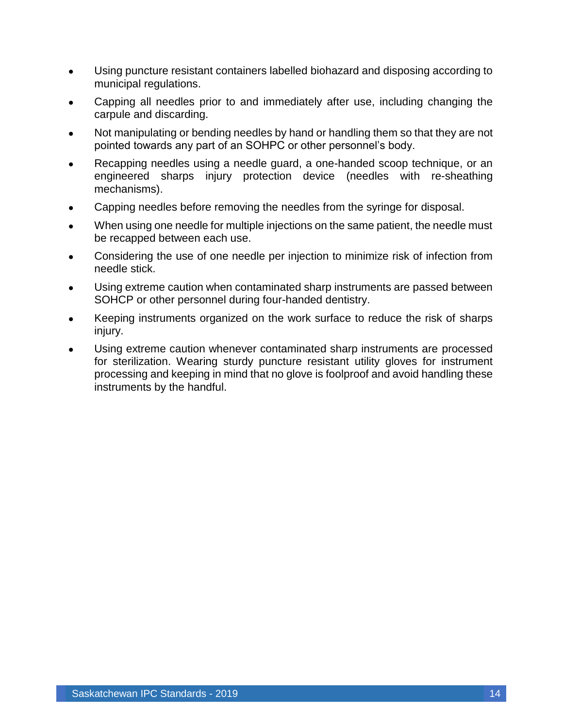- Using puncture resistant containers labelled biohazard and disposing according to municipal regulations.
- Capping all needles prior to and immediately after use, including changing the carpule and discarding.
- Not manipulating or bending needles by hand or handling them so that they are not pointed towards any part of an SOHPC or other personnel's body.
- Recapping needles using a needle guard, a one-handed scoop technique, or an engineered sharps injury protection device (needles with re-sheathing mechanisms).
- Capping needles before removing the needles from the syringe for disposal.
- When using one needle for multiple injections on the same patient, the needle must be recapped between each use.
- Considering the use of one needle per injection to minimize risk of infection from needle stick.
- Using extreme caution when contaminated sharp instruments are passed between SOHCP or other personnel during four-handed dentistry.
- Keeping instruments organized on the work surface to reduce the risk of sharps injury.
- Using extreme caution whenever contaminated sharp instruments are processed for sterilization. Wearing sturdy puncture resistant utility gloves for instrument processing and keeping in mind that no glove is foolproof and avoid handling these instruments by the handful.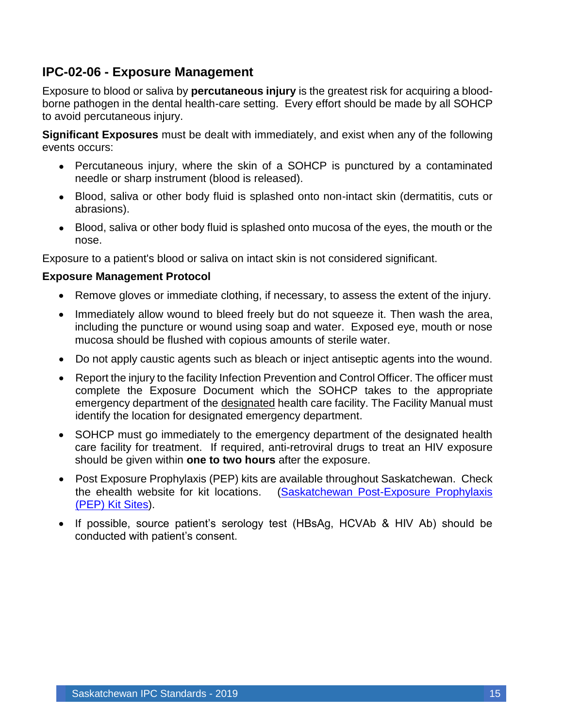### <span id="page-15-0"></span>**IPC-02-06 - Exposure Management**

Exposure to blood or saliva by **percutaneous injury** is the greatest risk for acquiring a bloodborne pathogen in the dental health-care setting. Every effort should be made by all SOHCP to avoid percutaneous injury.

**Significant Exposures** must be dealt with immediately, and exist when any of the following events occurs:

- Percutaneous injury, where the skin of a SOHCP is punctured by a contaminated needle or sharp instrument (blood is released).
- Blood, saliva or other body fluid is splashed onto non-intact skin (dermatitis, cuts or abrasions).
- Blood, saliva or other body fluid is splashed onto mucosa of the eyes, the mouth or the nose.

Exposure to a patient's blood or saliva on intact skin is not considered significant.

#### **Exposure Management Protocol**

- Remove gloves or immediate clothing, if necessary, to assess the extent of the injury.
- Immediately allow wound to bleed freely but do not squeeze it. Then wash the area, including the puncture or wound using soap and water. Exposed eye, mouth or nose mucosa should be flushed with copious amounts of sterile water.
- Do not apply caustic agents such as bleach or inject antiseptic agents into the wound.
- Report the injury to the facility Infection Prevention and Control Officer. The officer must complete the Exposure Document which the SOHCP takes to the appropriate emergency department of the designated health care facility. The Facility Manual must identify the location for designated emergency department.
- SOHCP must go immediately to the emergency department of the designated health care facility for treatment. If required, anti-retroviral drugs to treat an HIV exposure should be given within **one to two hours** after the exposure.
- Post Exposure Prophylaxis (PEP) kits are available throughout Saskatchewan. Check the ehealth website for kit locations. [\(Saskatchewan Post-Exposure Prophylaxis](https://www.ehealthsask.ca/services/manuals/Documents/hiv-guidelines-appendix2.pdf)  [\(PEP\) Kit Sites\)](https://www.ehealthsask.ca/services/manuals/Documents/hiv-guidelines-appendix2.pdf).
- If possible, source patient's serology test (HBsAg, HCVAb & HIV Ab) should be conducted with patient's consent.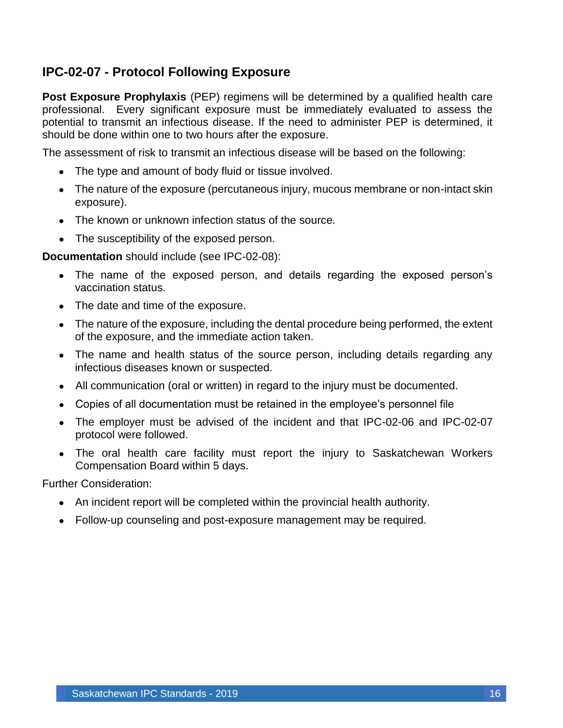### <span id="page-16-0"></span>**IPC-02-07 - Protocol Following Exposure**

**Post Exposure Prophylaxis** (PEP) regimens will be determined by a qualified health care professional. Every significant exposure must be immediately evaluated to assess the potential to transmit an infectious disease. If the need to administer PEP is determined, it should be done within one to two hours after the exposure.

The assessment of risk to transmit an infectious disease will be based on the following:

- The type and amount of body fluid or tissue involved.
- The nature of the exposure (percutaneous injury, mucous membrane or non-intact skin exposure).
- The known or unknown infection status of the source.
- The susceptibility of the exposed person.

#### **Documentation** should include (see IPC-02-08):

- The name of the exposed person, and details regarding the exposed person's vaccination status.
- The date and time of the exposure.
- The nature of the exposure, including the dental procedure being performed, the extent of the exposure, and the immediate action taken.
- The name and health status of the source person, including details regarding any infectious diseases known or suspected.
- All communication (oral or written) in regard to the injury must be documented.
- Copies of all documentation must be retained in the employee's personnel file
- The employer must be advised of the incident and that IPC-02-06 and IPC-02-07 protocol were followed.
- The oral health care facility must report the injury to Saskatchewan Workers Compensation Board within 5 days.

Further Consideration:

- An incident report will be completed within the provincial health authority.
- Follow-up counseling and post-exposure management may be required.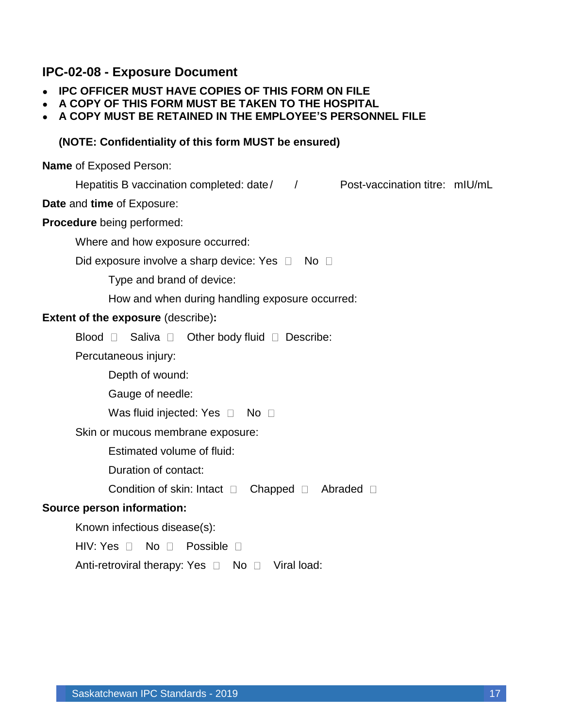#### <span id="page-17-0"></span>**IPC-02-08 - Exposure Document**

- **IPC OFFICER MUST HAVE COPIES OF THIS FORM ON FILE**
- **A COPY OF THIS FORM MUST BE TAKEN TO THE HOSPITAL**
- **A COPY MUST BE RETAINED IN THE EMPLOYEE'S PERSONNEL FILE**

#### **(NOTE: Confidentiality of this form MUST be ensured)**

**Name** of Exposed Person:

Hepatitis B vaccination completed: date/ / Post-vaccination titre: mIU/mL

**Date** and **time** of Exposure:

**Procedure** being performed:

Where and how exposure occurred:

Did exposure involve a sharp device: Yes  $\Box$  No  $\Box$ 

Type and brand of device:

How and when during handling exposure occurred:

#### **Extent of the exposure** (describe)**:**

Blood  $\Box$  Saliva  $\Box$  Other body fluid  $\Box$  Describe:

Percutaneous injury:

Depth of wound:

Gauge of needle:

Was fluid injected: Yes  $\Box$  No  $\Box$ 

Skin or mucous membrane exposure:

Estimated volume of fluid:

Duration of contact:

Condition of skin: Intact  $\Box$  Chapped  $\Box$  Abraded  $\Box$ 

#### **Source person information:**

Known infectious disease(s):

HIV: Yes  $\Box$  No  $\Box$  Possible  $\Box$ 

Anti-retroviral therapy: Yes  $\Box$  No  $\Box$  Viral load: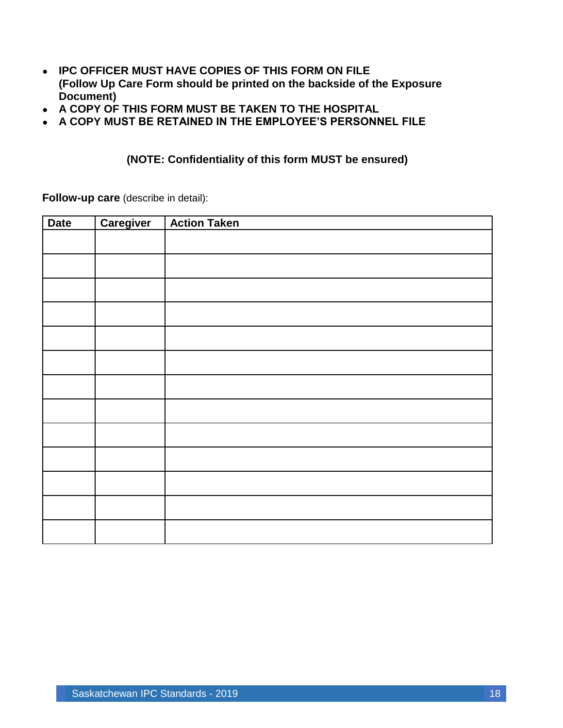- **IPC OFFICER MUST HAVE COPIES OF THIS FORM ON FILE (Follow Up Care Form should be printed on the backside of the Exposure Document)**
- **A COPY OF THIS FORM MUST BE TAKEN TO THE HOSPITAL**
- **A COPY MUST BE RETAINED IN THE EMPLOYEE'S PERSONNEL FILE**

#### **(NOTE: Confidentiality of this form MUST be ensured)**

**Follow-up care** (describe in detail):

| <b>Date</b> | Caregiver | <b>Action Taken</b> |
|-------------|-----------|---------------------|
|             |           |                     |
|             |           |                     |
|             |           |                     |
|             |           |                     |
|             |           |                     |
|             |           |                     |
|             |           |                     |
|             |           |                     |
|             |           |                     |
|             |           |                     |
|             |           |                     |
|             |           |                     |
|             |           |                     |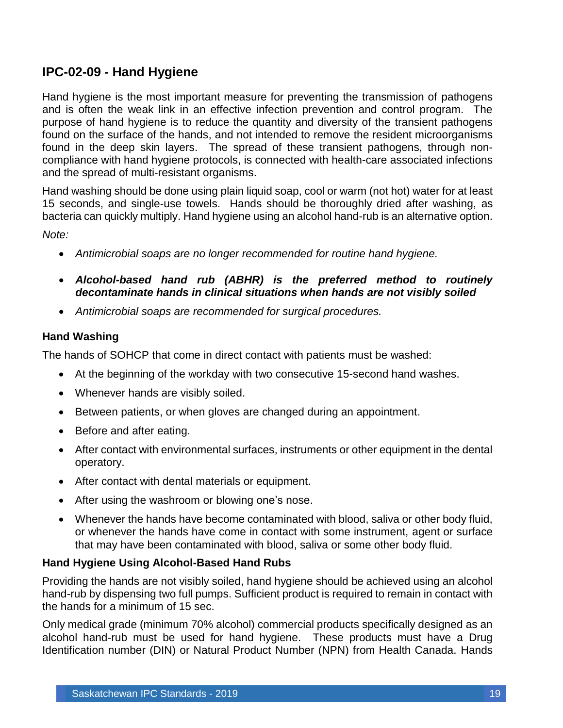### <span id="page-19-0"></span>**IPC-02-09 - Hand Hygiene**

Hand hygiene is the most important measure for preventing the transmission of pathogens and is often the weak link in an effective infection prevention and control program. The purpose of hand hygiene is to reduce the quantity and diversity of the transient pathogens found on the surface of the hands, and not intended to remove the resident microorganisms found in the deep skin layers. The spread of these transient pathogens, through noncompliance with hand hygiene protocols, is connected with health-care associated infections and the spread of multi-resistant organisms.

Hand washing should be done using plain liquid soap, cool or warm (not hot) water for at least 15 seconds, and single-use towels. Hands should be thoroughly dried after washing, as bacteria can quickly multiply. Hand hygiene using an alcohol hand-rub is an alternative option.

*Note:* 

- *Antimicrobial soaps are no longer recommended for routine hand hygiene.*
- *Alcohol-based hand rub (ABHR) is the preferred method to routinely decontaminate hands in clinical situations when hands are not visibly soiled*
- *Antimicrobial soaps are recommended for surgical procedures.*

#### **Hand Washing**

The hands of SOHCP that come in direct contact with patients must be washed:

- At the beginning of the workday with two consecutive 15-second hand washes.
- Whenever hands are visibly soiled.
- Between patients, or when gloves are changed during an appointment.
- Before and after eating.
- After contact with environmental surfaces, instruments or other equipment in the dental operatory.
- After contact with dental materials or equipment.
- After using the washroom or blowing one's nose.
- Whenever the hands have become contaminated with blood, saliva or other body fluid, or whenever the hands have come in contact with some instrument, agent or surface that may have been contaminated with blood, saliva or some other body fluid.

#### **Hand Hygiene Using Alcohol-Based Hand Rubs**

Providing the hands are not visibly soiled, hand hygiene should be achieved using an alcohol hand-rub by dispensing two full pumps. Sufficient product is required to remain in contact with the hands for a minimum of 15 sec.

Only medical grade (minimum 70% alcohol) commercial products specifically designed as an alcohol hand-rub must be used for hand hygiene. These products must have a Drug Identification number (DIN) or Natural Product Number (NPN) from Health Canada. Hands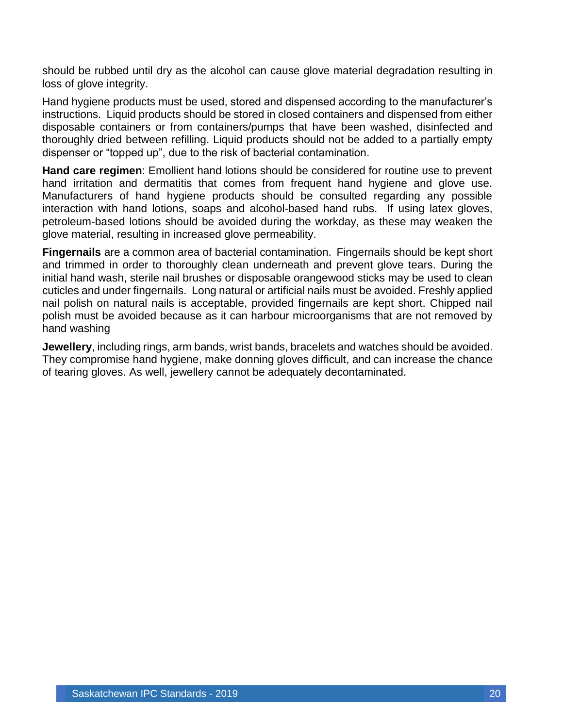should be rubbed until dry as the alcohol can cause glove material degradation resulting in loss of glove integrity.

Hand hygiene products must be used, stored and dispensed according to the manufacturer's instructions. Liquid products should be stored in closed containers and dispensed from either disposable containers or from containers/pumps that have been washed, disinfected and thoroughly dried between refilling. Liquid products should not be added to a partially empty dispenser or "topped up", due to the risk of bacterial contamination.

**Hand care regimen**: Emollient hand lotions should be considered for routine use to prevent hand irritation and dermatitis that comes from frequent hand hygiene and glove use. Manufacturers of hand hygiene products should be consulted regarding any possible interaction with hand lotions, soaps and alcohol-based hand rubs. If using latex gloves, petroleum-based lotions should be avoided during the workday, as these may weaken the glove material, resulting in increased glove permeability.

**Fingernails** are a common area of bacterial contamination. Fingernails should be kept short and trimmed in order to thoroughly clean underneath and prevent glove tears. During the initial hand wash, sterile nail brushes or disposable orangewood sticks may be used to clean cuticles and under fingernails. Long natural or artificial nails must be avoided. Freshly applied nail polish on natural nails is acceptable, provided fingernails are kept short. Chipped nail polish must be avoided because as it can harbour microorganisms that are not removed by hand washing

**Jewellery**, including rings, arm bands, wrist bands, bracelets and watches should be avoided. They compromise hand hygiene, make donning gloves difficult, and can increase the chance of tearing gloves. As well, jewellery cannot be adequately decontaminated.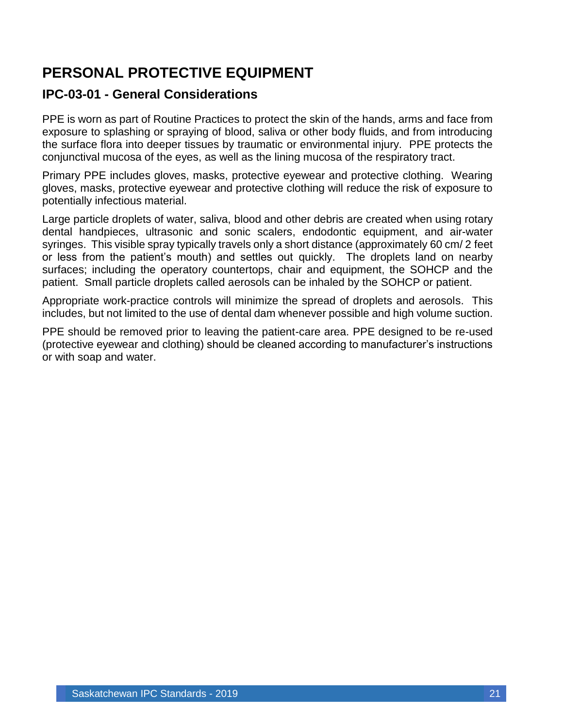# <span id="page-21-0"></span>**PERSONAL PROTECTIVE EQUIPMENT**

### <span id="page-21-1"></span>**IPC-03-01 - General Considerations**

PPE is worn as part of Routine Practices to protect the skin of the hands, arms and face from exposure to splashing or spraying of blood, saliva or other body fluids, and from introducing the surface flora into deeper tissues by traumatic or environmental injury. PPE protects the conjunctival mucosa of the eyes, as well as the lining mucosa of the respiratory tract.

Primary PPE includes gloves, masks, protective eyewear and protective clothing. Wearing gloves, masks, protective eyewear and protective clothing will reduce the risk of exposure to potentially infectious material.

Large particle droplets of water, saliva, blood and other debris are created when using rotary dental handpieces, ultrasonic and sonic scalers, endodontic equipment, and air-water syringes. This visible spray typically travels only a short distance (approximately 60 cm/ 2 feet or less from the patient's mouth) and settles out quickly. The droplets land on nearby surfaces; including the operatory countertops, chair and equipment, the SOHCP and the patient. Small particle droplets called aerosols can be inhaled by the SOHCP or patient.

Appropriate work-practice controls will minimize the spread of droplets and aerosols. This includes, but not limited to the use of dental dam whenever possible and high volume suction.

PPE should be removed prior to leaving the patient-care area. PPE designed to be re-used (protective eyewear and clothing) should be cleaned according to manufacturer's instructions or with soap and water.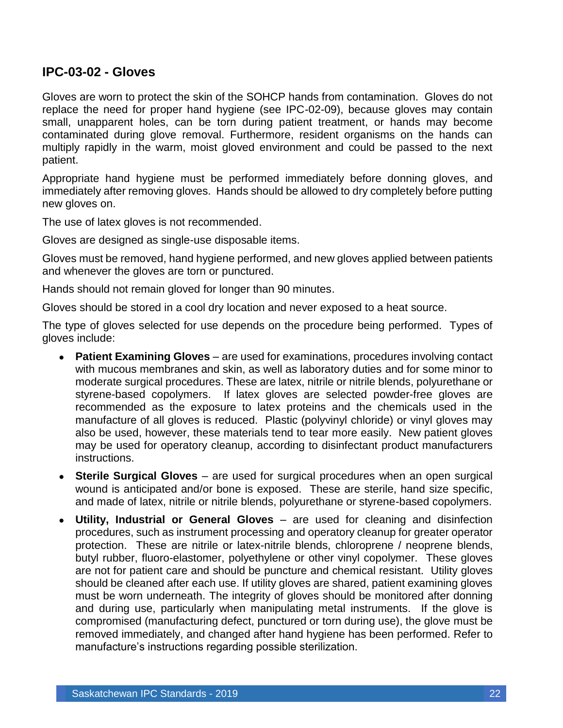#### <span id="page-22-0"></span>**IPC-03-02 - Gloves**

Gloves are worn to protect the skin of the SOHCP hands from contamination. Gloves do not replace the need for proper hand hygiene (see IPC-02-09), because gloves may contain small, unapparent holes, can be torn during patient treatment, or hands may become contaminated during glove removal. Furthermore, resident organisms on the hands can multiply rapidly in the warm, moist gloved environment and could be passed to the next patient.

Appropriate hand hygiene must be performed immediately before donning gloves, and immediately after removing gloves. Hands should be allowed to dry completely before putting new gloves on.

The use of latex gloves is not recommended.

Gloves are designed as single-use disposable items.

Gloves must be removed, hand hygiene performed, and new gloves applied between patients and whenever the gloves are torn or punctured.

Hands should not remain gloved for longer than 90 minutes.

Gloves should be stored in a cool dry location and never exposed to a heat source.

The type of gloves selected for use depends on the procedure being performed. Types of gloves include:

- **Patient Examining Gloves** are used for examinations, procedures involving contact with mucous membranes and skin, as well as laboratory duties and for some minor to moderate surgical procedures. These are latex, nitrile or nitrile blends, polyurethane or styrene-based copolymers. If latex gloves are selected powder-free gloves are recommended as the exposure to latex proteins and the chemicals used in the manufacture of all gloves is reduced. Plastic (polyvinyl chloride) or vinyl gloves may also be used, however, these materials tend to tear more easily. New patient gloves may be used for operatory cleanup, according to disinfectant product manufacturers instructions.
- **Sterile Surgical Gloves** are used for surgical procedures when an open surgical wound is anticipated and/or bone is exposed. These are sterile, hand size specific, and made of latex, nitrile or nitrile blends, polyurethane or styrene-based copolymers.
- **Utility, Industrial or General Gloves** are used for cleaning and disinfection procedures, such as instrument processing and operatory cleanup for greater operator protection. These are nitrile or latex-nitrile blends, chloroprene / neoprene blends, butyl rubber, fluoro-elastomer, polyethylene or other vinyl copolymer. These gloves are not for patient care and should be puncture and chemical resistant. Utility gloves should be cleaned after each use. If utility gloves are shared, patient examining gloves must be worn underneath. The integrity of gloves should be monitored after donning and during use, particularly when manipulating metal instruments. If the glove is compromised (manufacturing defect, punctured or torn during use), the glove must be removed immediately, and changed after hand hygiene has been performed. Refer to manufacture's instructions regarding possible sterilization.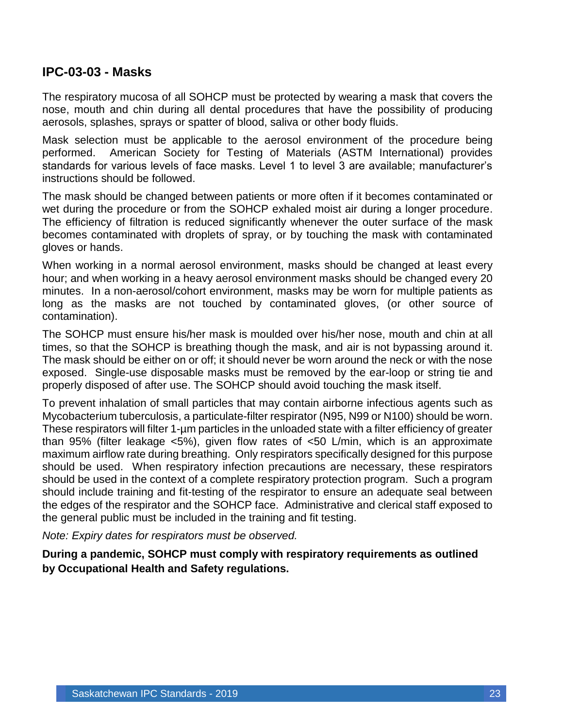#### <span id="page-23-0"></span>**IPC-03-03 - Masks**

The respiratory mucosa of all SOHCP must be protected by wearing a mask that covers the nose, mouth and chin during all dental procedures that have the possibility of producing aerosols, splashes, sprays or spatter of blood, saliva or other body fluids.

Mask selection must be applicable to the aerosol environment of the procedure being performed. American Society for Testing of Materials (ASTM International) provides standards for various levels of face masks. Level 1 to level 3 are available; manufacturer's instructions should be followed.

The mask should be changed between patients or more often if it becomes contaminated or wet during the procedure or from the SOHCP exhaled moist air during a longer procedure. The efficiency of filtration is reduced significantly whenever the outer surface of the mask becomes contaminated with droplets of spray, or by touching the mask with contaminated gloves or hands.

When working in a normal aerosol environment, masks should be changed at least every hour; and when working in a heavy aerosol environment masks should be changed every 20 minutes. In a non-aerosol/cohort environment, masks may be worn for multiple patients as long as the masks are not touched by contaminated gloves, (or other source of contamination).

The SOHCP must ensure his/her mask is moulded over his/her nose, mouth and chin at all times, so that the SOHCP is breathing though the mask, and air is not bypassing around it. The mask should be either on or off; it should never be worn around the neck or with the nose exposed. Single-use disposable masks must be removed by the ear-loop or string tie and properly disposed of after use. The SOHCP should avoid touching the mask itself.

To prevent inhalation of small particles that may contain airborne infectious agents such as Mycobacterium tuberculosis, a particulate-filter respirator (N95, N99 or N100) should be worn. These respirators will filter 1-um particles in the unloaded state with a filter efficiency of greater than 95% (filter leakage <5%), given flow rates of <50 L/min, which is an approximate maximum airflow rate during breathing. Only respirators specifically designed for this purpose should be used. When respiratory infection precautions are necessary, these respirators should be used in the context of a complete respiratory protection program. Such a program should include training and fit-testing of the respirator to ensure an adequate seal between the edges of the respirator and the SOHCP face. Administrative and clerical staff exposed to the general public must be included in the training and fit testing.

*Note: Expiry dates for respirators must be observed.*

**During a pandemic, SOHCP must comply with respiratory requirements as outlined by Occupational Health and Safety regulations.**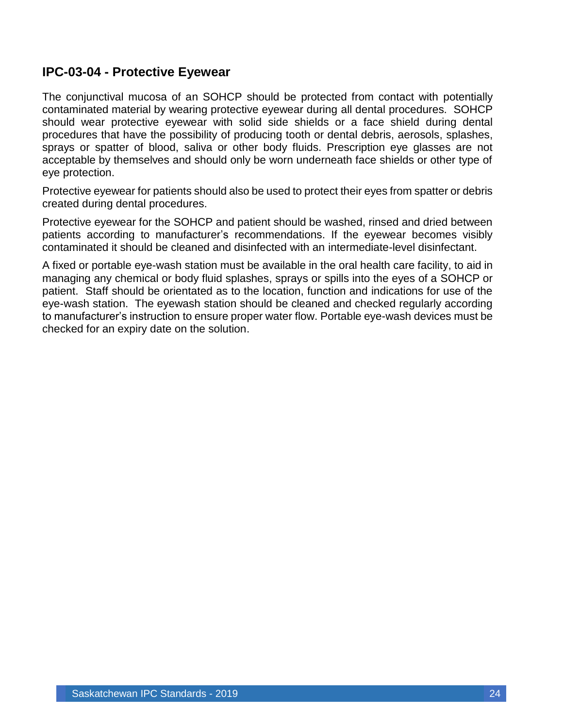#### <span id="page-24-0"></span>**IPC-03-04 - Protective Eyewear**

The conjunctival mucosa of an SOHCP should be protected from contact with potentially contaminated material by wearing protective eyewear during all dental procedures. SOHCP should wear protective eyewear with solid side shields or a face shield during dental procedures that have the possibility of producing tooth or dental debris, aerosols, splashes, sprays or spatter of blood, saliva or other body fluids. Prescription eye glasses are not acceptable by themselves and should only be worn underneath face shields or other type of eye protection.

Protective eyewear for patients should also be used to protect their eyes from spatter or debris created during dental procedures.

Protective eyewear for the SOHCP and patient should be washed, rinsed and dried between patients according to manufacturer's recommendations. If the eyewear becomes visibly contaminated it should be cleaned and disinfected with an intermediate-level disinfectant.

A fixed or portable eye-wash station must be available in the oral health care facility, to aid in managing any chemical or body fluid splashes, sprays or spills into the eyes of a SOHCP or patient. Staff should be orientated as to the location, function and indications for use of the eye-wash station. The eyewash station should be cleaned and checked regularly according to manufacturer's instruction to ensure proper water flow. Portable eye-wash devices must be checked for an expiry date on the solution.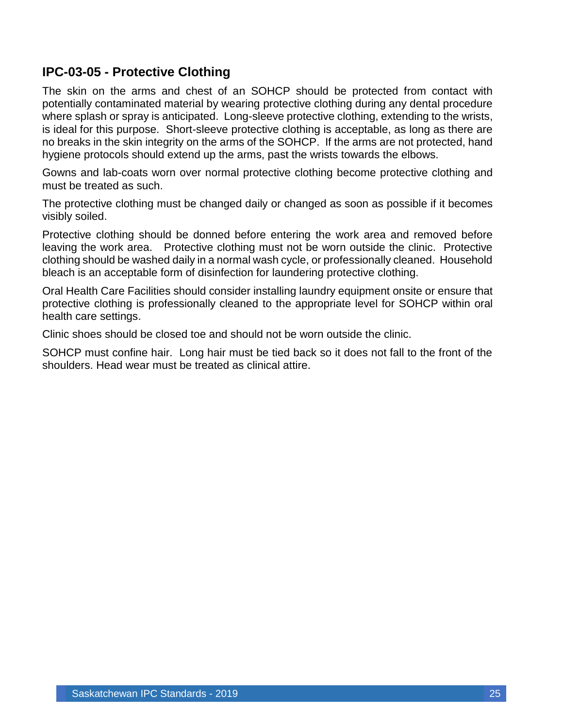### <span id="page-25-0"></span>**IPC-03-05 - Protective Clothing**

The skin on the arms and chest of an SOHCP should be protected from contact with potentially contaminated material by wearing protective clothing during any dental procedure where splash or spray is anticipated. Long-sleeve protective clothing, extending to the wrists, is ideal for this purpose. Short-sleeve protective clothing is acceptable, as long as there are no breaks in the skin integrity on the arms of the SOHCP. If the arms are not protected, hand hygiene protocols should extend up the arms, past the wrists towards the elbows.

Gowns and lab-coats worn over normal protective clothing become protective clothing and must be treated as such.

The protective clothing must be changed daily or changed as soon as possible if it becomes visibly soiled.

Protective clothing should be donned before entering the work area and removed before leaving the work area. Protective clothing must not be worn outside the clinic. Protective clothing should be washed daily in a normal wash cycle, or professionally cleaned. Household bleach is an acceptable form of disinfection for laundering protective clothing.

Oral Health Care Facilities should consider installing laundry equipment onsite or ensure that protective clothing is professionally cleaned to the appropriate level for SOHCP within oral health care settings.

Clinic shoes should be closed toe and should not be worn outside the clinic.

SOHCP must confine hair. Long hair must be tied back so it does not fall to the front of the shoulders. Head wear must be treated as clinical attire.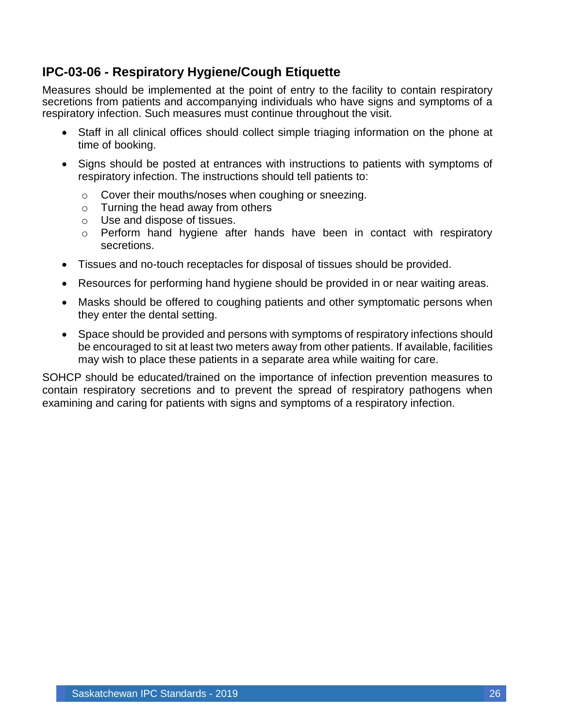### <span id="page-26-0"></span>**IPC-03-06 - Respiratory Hygiene/Cough Etiquette**

Measures should be implemented at the point of entry to the facility to contain respiratory secretions from patients and accompanying individuals who have signs and symptoms of a respiratory infection. Such measures must continue throughout the visit.

- Staff in all clinical offices should collect simple triaging information on the phone at time of booking.
- Signs should be posted at entrances with instructions to patients with symptoms of respiratory infection. The instructions should tell patients to:
	- o Cover their mouths/noses when coughing or sneezing.
	- o Turning the head away from others
	- o Use and dispose of tissues.
	- o Perform hand hygiene after hands have been in contact with respiratory secretions.
- Tissues and no-touch receptacles for disposal of tissues should be provided.
- Resources for performing hand hygiene should be provided in or near waiting areas.
- Masks should be offered to coughing patients and other symptomatic persons when they enter the dental setting.
- Space should be provided and persons with symptoms of respiratory infections should be encouraged to sit at least two meters away from other patients. If available, facilities may wish to place these patients in a separate area while waiting for care.

SOHCP should be educated/trained on the importance of infection prevention measures to contain respiratory secretions and to prevent the spread of respiratory pathogens when examining and caring for patients with signs and symptoms of a respiratory infection.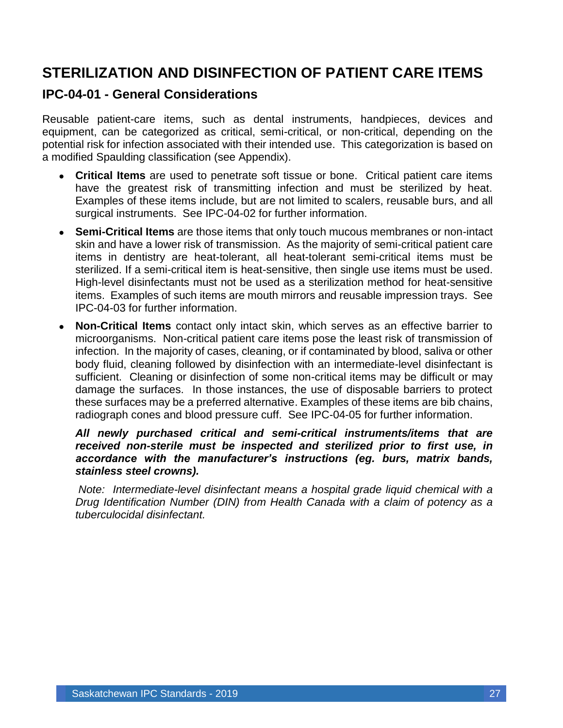# <span id="page-27-0"></span>**STERILIZATION AND DISINFECTION OF PATIENT CARE ITEMS**

#### <span id="page-27-1"></span>**IPC-04-01 - General Considerations**

Reusable patient-care items, such as dental instruments, handpieces, devices and equipment, can be categorized as critical, semi-critical, or non-critical, depending on the potential risk for infection associated with their intended use. This categorization is based on a modified Spaulding classification (see Appendix).

- **Critical Items** are used to penetrate soft tissue or bone. Critical patient care items have the greatest risk of transmitting infection and must be sterilized by heat. Examples of these items include, but are not limited to scalers, reusable burs, and all surgical instruments. See IPC-04-02 for further information.
- **Semi-Critical Items** are those items that only touch mucous membranes or non-intact skin and have a lower risk of transmission. As the majority of semi-critical patient care items in dentistry are heat-tolerant, all heat-tolerant semi-critical items must be sterilized. If a semi-critical item is heat-sensitive, then single use items must be used. High-level disinfectants must not be used as a sterilization method for heat-sensitive items. Examples of such items are mouth mirrors and reusable impression trays. See IPC-04-03 for further information.
- **Non-Critical Items** contact only intact skin, which serves as an effective barrier to microorganisms. Non-critical patient care items pose the least risk of transmission of infection. In the majority of cases, cleaning, or if contaminated by blood, saliva or other body fluid, cleaning followed by disinfection with an intermediate-level disinfectant is sufficient. Cleaning or disinfection of some non-critical items may be difficult or may damage the surfaces. In those instances, the use of disposable barriers to protect these surfaces may be a preferred alternative. Examples of these items are bib chains, radiograph cones and blood pressure cuff. See IPC-04-05 for further information.

#### *All newly purchased critical and semi-critical instruments/items that are received non-sterile must be inspected and sterilized prior to first use, in accordance with the manufacturer's instructions (eg. burs, matrix bands, stainless steel crowns).*

*Note: Intermediate-level disinfectant means a hospital grade liquid chemical with a Drug Identification Number (DIN) from Health Canada with a claim of potency as a tuberculocidal disinfectant.*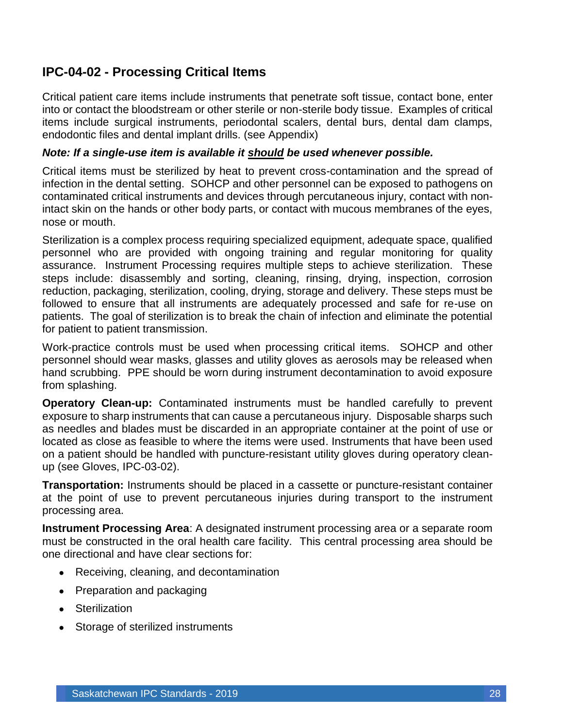### <span id="page-28-0"></span>**IPC-04-02 - Processing Critical Items**

Critical patient care items include instruments that penetrate soft tissue, contact bone, enter into or contact the bloodstream or other sterile or non-sterile body tissue. Examples of critical items include surgical instruments, periodontal scalers, dental burs, dental dam clamps, endodontic files and dental implant drills. (see Appendix)

#### *Note: If a single-use item is available it should be used whenever possible.*

Critical items must be sterilized by heat to prevent cross-contamination and the spread of infection in the dental setting. SOHCP and other personnel can be exposed to pathogens on contaminated critical instruments and devices through percutaneous injury, contact with nonintact skin on the hands or other body parts, or contact with mucous membranes of the eyes, nose or mouth.

Sterilization is a complex process requiring specialized equipment, adequate space, qualified personnel who are provided with ongoing training and regular monitoring for quality assurance. Instrument Processing requires multiple steps to achieve sterilization. These steps include: disassembly and sorting, cleaning, rinsing, drying, inspection, corrosion reduction, packaging, sterilization, cooling, drying, storage and delivery. These steps must be followed to ensure that all instruments are adequately processed and safe for re-use on patients. The goal of sterilization is to break the chain of infection and eliminate the potential for patient to patient transmission.

Work-practice controls must be used when processing critical items. SOHCP and other personnel should wear masks, glasses and utility gloves as aerosols may be released when hand scrubbing. PPE should be worn during instrument decontamination to avoid exposure from splashing.

**Operatory Clean-up:** Contaminated instruments must be handled carefully to prevent exposure to sharp instruments that can cause a percutaneous injury. Disposable sharps such as needles and blades must be discarded in an appropriate container at the point of use or located as close as feasible to where the items were used. Instruments that have been used on a patient should be handled with puncture-resistant utility gloves during operatory cleanup (see Gloves, IPC-03-02).

**Transportation:** Instruments should be placed in a cassette or puncture-resistant container at the point of use to prevent percutaneous injuries during transport to the instrument processing area.

**Instrument Processing Area**: A designated instrument processing area or a separate room must be constructed in the oral health care facility. This central processing area should be one directional and have clear sections for:

- Receiving, cleaning, and decontamination
- Preparation and packaging
- Sterilization
- Storage of sterilized instruments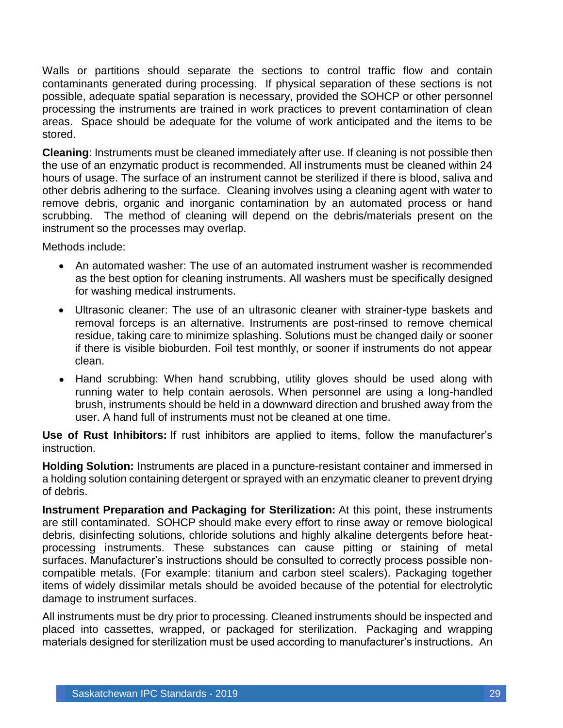Walls or partitions should separate the sections to control traffic flow and contain contaminants generated during processing. If physical separation of these sections is not possible, adequate spatial separation is necessary, provided the SOHCP or other personnel processing the instruments are trained in work practices to prevent contamination of clean areas. Space should be adequate for the volume of work anticipated and the items to be stored.

**Cleaning**: Instruments must be cleaned immediately after use. If cleaning is not possible then the use of an enzymatic product is recommended. All instruments must be cleaned within 24 hours of usage. The surface of an instrument cannot be sterilized if there is blood, saliva and other debris adhering to the surface. Cleaning involves using a cleaning agent with water to remove debris, organic and inorganic contamination by an automated process or hand scrubbing. The method of cleaning will depend on the debris/materials present on the instrument so the processes may overlap.

Methods include:

- An automated washer: The use of an automated instrument washer is recommended as the best option for cleaning instruments. All washers must be specifically designed for washing medical instruments.
- Ultrasonic cleaner: The use of an ultrasonic cleaner with strainer-type baskets and removal forceps is an alternative. Instruments are post-rinsed to remove chemical residue, taking care to minimize splashing. Solutions must be changed daily or sooner if there is visible bioburden. Foil test monthly, or sooner if instruments do not appear clean.
- Hand scrubbing: When hand scrubbing, utility gloves should be used along with running water to help contain aerosols. When personnel are using a long-handled brush, instruments should be held in a downward direction and brushed away from the user. A hand full of instruments must not be cleaned at one time.

**Use of Rust Inhibitors:** If rust inhibitors are applied to items, follow the manufacturer's instruction.

**Holding Solution:** Instruments are placed in a puncture-resistant container and immersed in a holding solution containing detergent or sprayed with an enzymatic cleaner to prevent drying of debris.

**Instrument Preparation and Packaging for Sterilization:** At this point, these instruments are still contaminated. SOHCP should make every effort to rinse away or remove biological debris, disinfecting solutions, chloride solutions and highly alkaline detergents before heatprocessing instruments. These substances can cause pitting or staining of metal surfaces. Manufacturer's instructions should be consulted to correctly process possible noncompatible metals. (For example: titanium and carbon steel scalers). Packaging together items of widely dissimilar metals should be avoided because of the potential for electrolytic damage to instrument surfaces.

All instruments must be dry prior to processing. Cleaned instruments should be inspected and placed into cassettes, wrapped, or packaged for sterilization. Packaging and wrapping materials designed for sterilization must be used according to manufacturer's instructions. An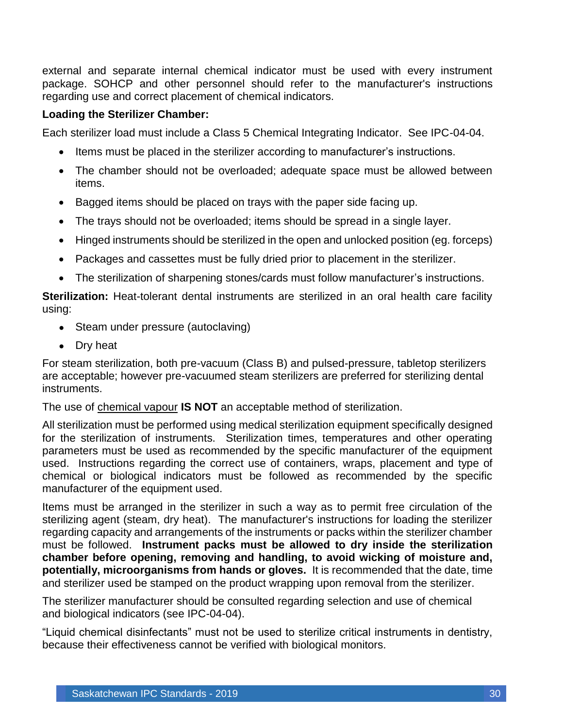external and separate internal chemical indicator must be used with every instrument package. SOHCP and other personnel should refer to the manufacturer's instructions regarding use and correct placement of chemical indicators.

#### **Loading the Sterilizer Chamber:**

Each sterilizer load must include a Class 5 Chemical Integrating Indicator. See IPC-04-04.

- Items must be placed in the sterilizer according to manufacturer's instructions.
- The chamber should not be overloaded; adequate space must be allowed between items.
- Bagged items should be placed on trays with the paper side facing up.
- The trays should not be overloaded; items should be spread in a single layer.
- Hinged instruments should be sterilized in the open and unlocked position (eg. forceps)
- Packages and cassettes must be fully dried prior to placement in the sterilizer.
- The sterilization of sharpening stones/cards must follow manufacturer's instructions.

**Sterilization:** Heat-tolerant dental instruments are sterilized in an oral health care facility using:

- Steam under pressure (autoclaving)
- Dry heat

For steam sterilization, both pre-vacuum (Class B) and pulsed-pressure, tabletop sterilizers are acceptable; however pre-vacuumed steam sterilizers are preferred for sterilizing dental instruments.

The use of chemical vapour **IS NOT** an acceptable method of sterilization.

All sterilization must be performed using medical sterilization equipment specifically designed for the sterilization of instruments. Sterilization times, temperatures and other operating parameters must be used as recommended by the specific manufacturer of the equipment used. Instructions regarding the correct use of containers, wraps, placement and type of chemical or biological indicators must be followed as recommended by the specific manufacturer of the equipment used.

Items must be arranged in the sterilizer in such a way as to permit free circulation of the sterilizing agent (steam, dry heat). The manufacturer's instructions for loading the sterilizer regarding capacity and arrangements of the instruments or packs within the sterilizer chamber must be followed. **Instrument packs must be allowed to dry inside the sterilization chamber before opening, removing and handling, to avoid wicking of moisture and, potentially, microorganisms from hands or gloves.** It is recommended that the date, time and sterilizer used be stamped on the product wrapping upon removal from the sterilizer.

The sterilizer manufacturer should be consulted regarding selection and use of chemical and biological indicators (see IPC-04-04).

"Liquid chemical disinfectants" must not be used to sterilize critical instruments in dentistry, because their effectiveness cannot be verified with biological monitors.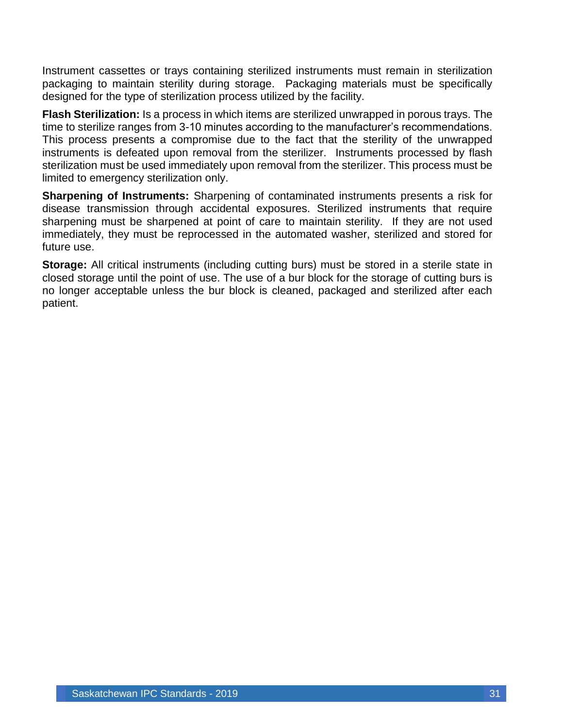Instrument cassettes or trays containing sterilized instruments must remain in sterilization packaging to maintain sterility during storage. Packaging materials must be specifically designed for the type of sterilization process utilized by the facility.

**Flash Sterilization:** Is a process in which items are sterilized unwrapped in porous trays. The time to sterilize ranges from 3-10 minutes according to the manufacturer's recommendations. This process presents a compromise due to the fact that the sterility of the unwrapped instruments is defeated upon removal from the sterilizer. Instruments processed by flash sterilization must be used immediately upon removal from the sterilizer. This process must be limited to emergency sterilization only.

**Sharpening of Instruments:** Sharpening of contaminated instruments presents a risk for disease transmission through accidental exposures. Sterilized instruments that require sharpening must be sharpened at point of care to maintain sterility. If they are not used immediately, they must be reprocessed in the automated washer, sterilized and stored for future use.

**Storage:** All critical instruments (including cutting burs) must be stored in a sterile state in closed storage until the point of use. The use of a bur block for the storage of cutting burs is no longer acceptable unless the bur block is cleaned, packaged and sterilized after each patient.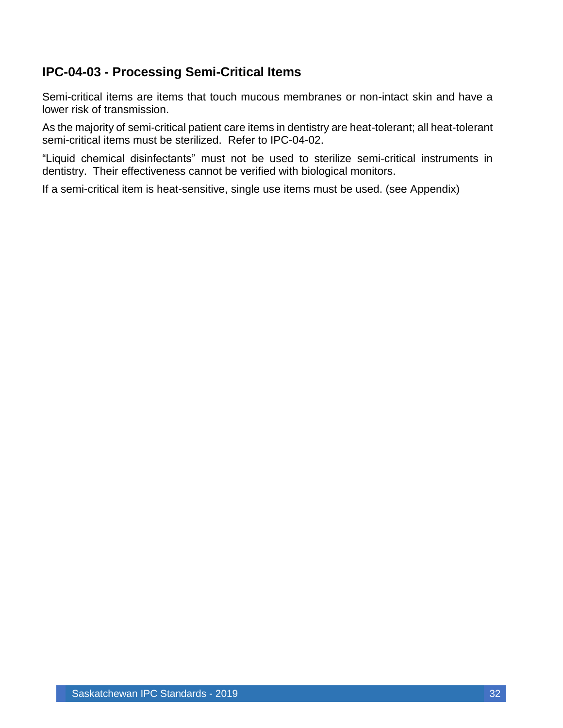### <span id="page-32-0"></span>**IPC-04-03 - Processing Semi-Critical Items**

Semi-critical items are items that touch mucous membranes or non-intact skin and have a lower risk of transmission.

As the majority of semi-critical patient care items in dentistry are heat-tolerant; all heat-tolerant semi-critical items must be sterilized. Refer to IPC-04-02.

"Liquid chemical disinfectants" must not be used to sterilize semi-critical instruments in dentistry. Their effectiveness cannot be verified with biological monitors.

If a semi-critical item is heat-sensitive, single use items must be used. (see Appendix)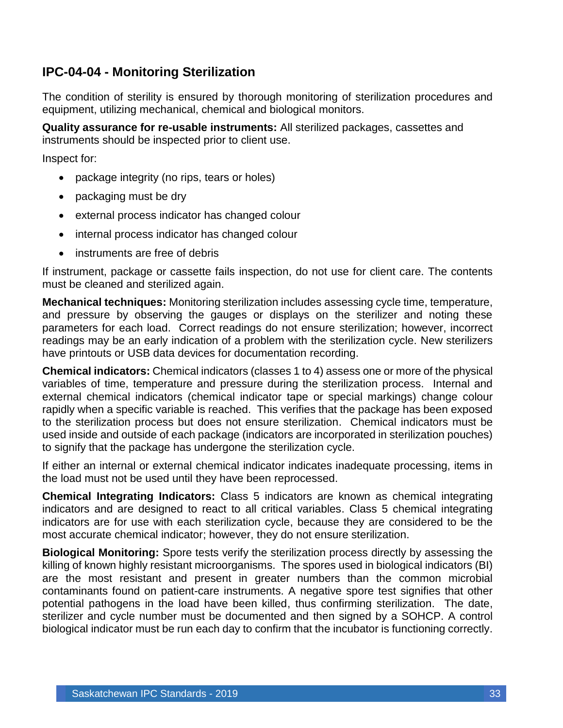### <span id="page-33-0"></span>**IPC-04-04 - Monitoring Sterilization**

The condition of sterility is ensured by thorough monitoring of sterilization procedures and equipment, utilizing mechanical, chemical and biological monitors.

**Quality assurance for re-usable instruments:** All sterilized packages, cassettes and instruments should be inspected prior to client use.

Inspect for:

- package integrity (no rips, tears or holes)
- packaging must be dry
- external process indicator has changed colour
- internal process indicator has changed colour
- instruments are free of debris

If instrument, package or cassette fails inspection, do not use for client care. The contents must be cleaned and sterilized again.

**Mechanical techniques:** Monitoring sterilization includes assessing cycle time, temperature, and pressure by observing the gauges or displays on the sterilizer and noting these parameters for each load. Correct readings do not ensure sterilization; however, incorrect readings may be an early indication of a problem with the sterilization cycle. New sterilizers have printouts or USB data devices for documentation recording.

**Chemical indicators:** Chemical indicators (classes 1 to 4) assess one or more of the physical variables of time, temperature and pressure during the sterilization process. Internal and external chemical indicators (chemical indicator tape or special markings) change colour rapidly when a specific variable is reached. This verifies that the package has been exposed to the sterilization process but does not ensure sterilization. Chemical indicators must be used inside and outside of each package (indicators are incorporated in sterilization pouches) to signify that the package has undergone the sterilization cycle.

If either an internal or external chemical indicator indicates inadequate processing, items in the load must not be used until they have been reprocessed.

**Chemical Integrating Indicators:** Class 5 indicators are known as chemical integrating indicators and are designed to react to all critical variables. Class 5 chemical integrating indicators are for use with each sterilization cycle, because they are considered to be the most accurate chemical indicator; however, they do not ensure sterilization.

**Biological Monitoring:** Spore tests verify the sterilization process directly by assessing the killing of known highly resistant microorganisms. The spores used in biological indicators (BI) are the most resistant and present in greater numbers than the common microbial contaminants found on patient-care instruments. A negative spore test signifies that other potential pathogens in the load have been killed, thus confirming sterilization. The date, sterilizer and cycle number must be documented and then signed by a SOHCP. A control biological indicator must be run each day to confirm that the incubator is functioning correctly.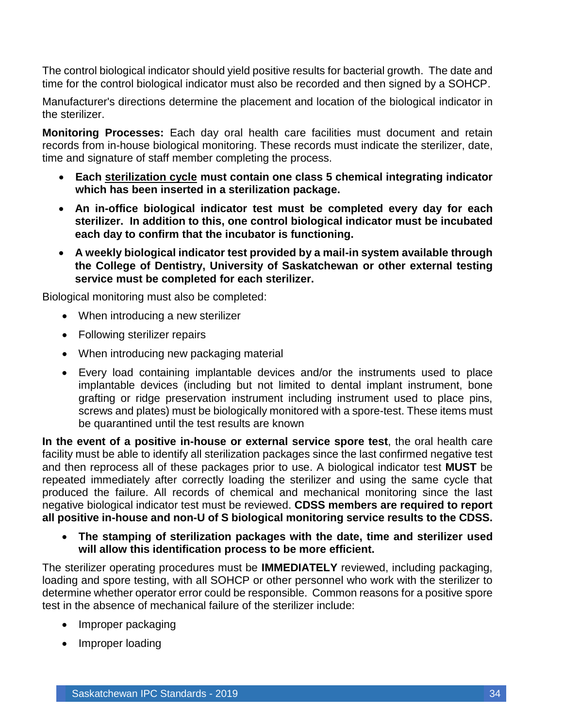The control biological indicator should yield positive results for bacterial growth. The date and time for the control biological indicator must also be recorded and then signed by a SOHCP.

Manufacturer's directions determine the placement and location of the biological indicator in the sterilizer.

**Monitoring Processes:** Each day oral health care facilities must document and retain records from in-house biological monitoring. These records must indicate the sterilizer, date, time and signature of staff member completing the process.

- **Each sterilization cycle must contain one class 5 chemical integrating indicator which has been inserted in a sterilization package.**
- **An in-office biological indicator test must be completed every day for each sterilizer. In addition to this, one control biological indicator must be incubated each day to confirm that the incubator is functioning.**
- **A weekly biological indicator test provided by a mail-in system available through the College of Dentistry, University of Saskatchewan or other external testing service must be completed for each sterilizer.**

Biological monitoring must also be completed:

- When introducing a new sterilizer
- Following sterilizer repairs
- When introducing new packaging material
- Every load containing implantable devices and/or the instruments used to place implantable devices (including but not limited to dental implant instrument, bone grafting or ridge preservation instrument including instrument used to place pins, screws and plates) must be biologically monitored with a spore-test. These items must be quarantined until the test results are known

**In the event of a positive in-house or external service spore test**, the oral health care facility must be able to identify all sterilization packages since the last confirmed negative test and then reprocess all of these packages prior to use. A biological indicator test **MUST** be repeated immediately after correctly loading the sterilizer and using the same cycle that produced the failure. All records of chemical and mechanical monitoring since the last negative biological indicator test must be reviewed. **CDSS members are required to report all positive in-house and non-U of S biological monitoring service results to the CDSS.**

• **The stamping of sterilization packages with the date, time and sterilizer used will allow this identification process to be more efficient.**

The sterilizer operating procedures must be **IMMEDIATELY** reviewed, including packaging, loading and spore testing, with all SOHCP or other personnel who work with the sterilizer to determine whether operator error could be responsible. Common reasons for a positive spore test in the absence of mechanical failure of the sterilizer include:

- Improper packaging
- Improper loading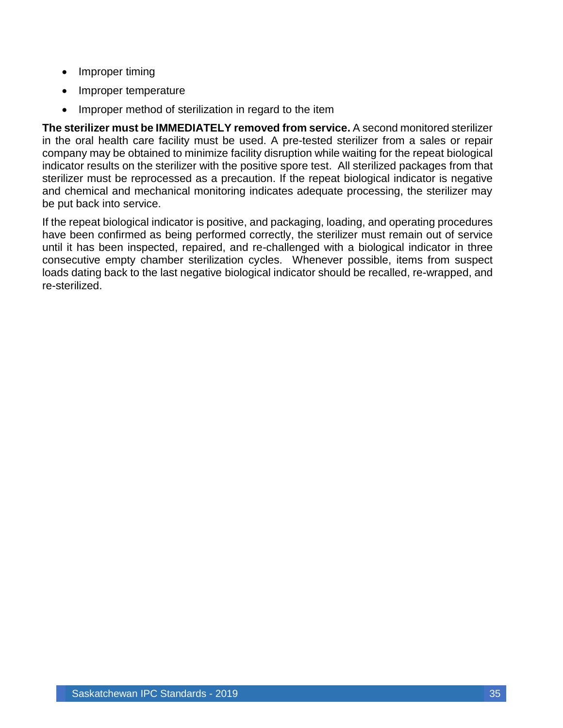- Improper timing
- Improper temperature
- Improper method of sterilization in regard to the item

**The sterilizer must be IMMEDIATELY removed from service.** A second monitored sterilizer in the oral health care facility must be used. A pre-tested sterilizer from a sales or repair company may be obtained to minimize facility disruption while waiting for the repeat biological indicator results on the sterilizer with the positive spore test. All sterilized packages from that sterilizer must be reprocessed as a precaution. If the repeat biological indicator is negative and chemical and mechanical monitoring indicates adequate processing, the sterilizer may be put back into service.

If the repeat biological indicator is positive, and packaging, loading, and operating procedures have been confirmed as being performed correctly, the sterilizer must remain out of service until it has been inspected, repaired, and re-challenged with a biological indicator in three consecutive empty chamber sterilization cycles. Whenever possible, items from suspect loads dating back to the last negative biological indicator should be recalled, re-wrapped, and re-sterilized.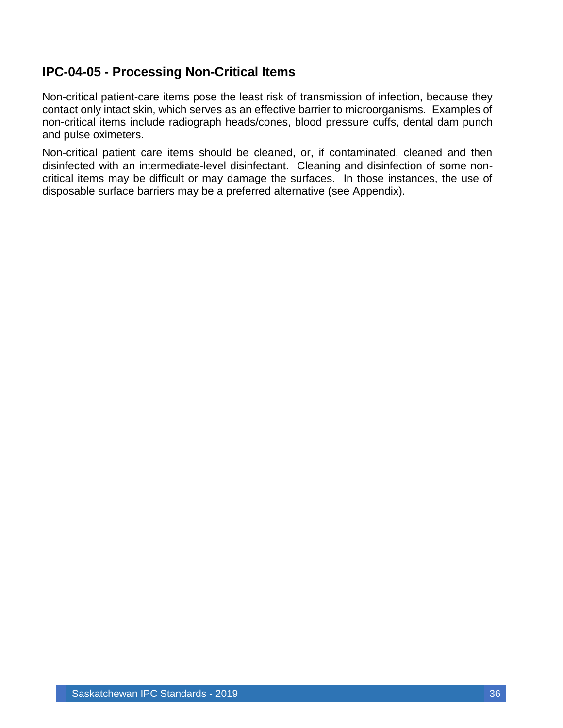### <span id="page-36-0"></span>**IPC-04-05 - Processing Non-Critical Items**

Non-critical patient-care items pose the least risk of transmission of infection, because they contact only intact skin, which serves as an effective barrier to microorganisms. Examples of non-critical items include radiograph heads/cones, blood pressure cuffs, dental dam punch and pulse oximeters.

Non-critical patient care items should be cleaned, or, if contaminated, cleaned and then disinfected with an intermediate-level disinfectant. Cleaning and disinfection of some noncritical items may be difficult or may damage the surfaces. In those instances, the use of disposable surface barriers may be a preferred alternative (see Appendix).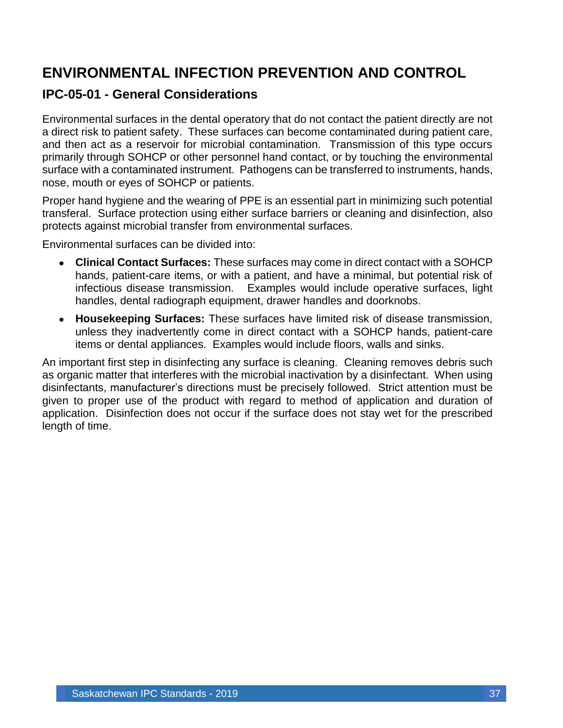# <span id="page-37-0"></span>**ENVIRONMENTAL INFECTION PREVENTION AND CONTROL**

#### <span id="page-37-1"></span>**IPC-05-01 - General Considerations**

Environmental surfaces in the dental operatory that do not contact the patient directly are not a direct risk to patient safety. These surfaces can become contaminated during patient care, and then act as a reservoir for microbial contamination. Transmission of this type occurs primarily through SOHCP or other personnel hand contact, or by touching the environmental surface with a contaminated instrument. Pathogens can be transferred to instruments, hands, nose, mouth or eyes of SOHCP or patients.

Proper hand hygiene and the wearing of PPE is an essential part in minimizing such potential transferal. Surface protection using either surface barriers or cleaning and disinfection, also protects against microbial transfer from environmental surfaces.

Environmental surfaces can be divided into:

- **Clinical Contact Surfaces:** These surfaces may come in direct contact with a SOHCP hands, patient-care items, or with a patient, and have a minimal, but potential risk of infectious disease transmission. Examples would include operative surfaces, light handles, dental radiograph equipment, drawer handles and doorknobs.
- **Housekeeping Surfaces:** These surfaces have limited risk of disease transmission, unless they inadvertently come in direct contact with a SOHCP hands, patient-care items or dental appliances. Examples would include floors, walls and sinks.

An important first step in disinfecting any surface is cleaning. Cleaning removes debris such as organic matter that interferes with the microbial inactivation by a disinfectant. When using disinfectants, manufacturer's directions must be precisely followed. Strict attention must be given to proper use of the product with regard to method of application and duration of application. Disinfection does not occur if the surface does not stay wet for the prescribed length of time.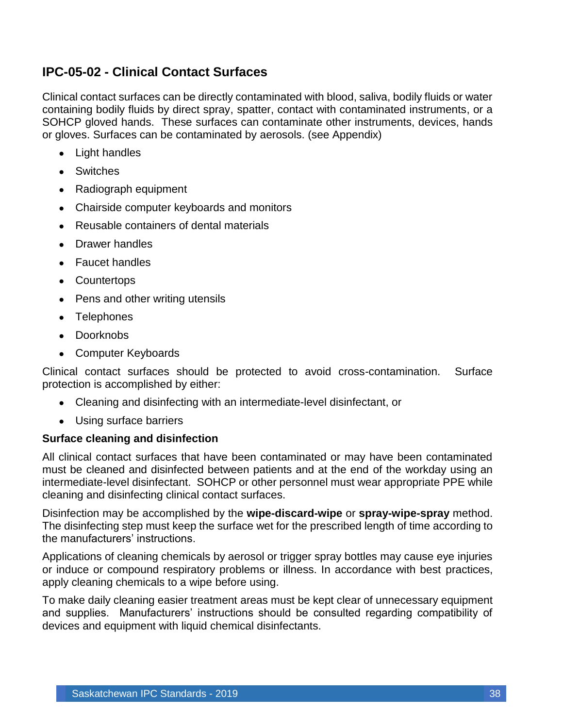### <span id="page-38-0"></span>**IPC-05-02 - Clinical Contact Surfaces**

Clinical contact surfaces can be directly contaminated with blood, saliva, bodily fluids or water containing bodily fluids by direct spray, spatter, contact with contaminated instruments, or a SOHCP gloved hands. These surfaces can contaminate other instruments, devices, hands or gloves. Surfaces can be contaminated by aerosols. (see Appendix)

- Light handles
- Switches
- Radiograph equipment
- Chairside computer keyboards and monitors
- Reusable containers of dental materials
- Drawer handles
- Faucet handles
- Countertops
- Pens and other writing utensils
- Telephones
- Doorknobs
- Computer Keyboards

Clinical contact surfaces should be protected to avoid cross-contamination. Surface protection is accomplished by either:

- Cleaning and disinfecting with an intermediate-level disinfectant, or
- Using surface barriers

#### **Surface cleaning and disinfection**

All clinical contact surfaces that have been contaminated or may have been contaminated must be cleaned and disinfected between patients and at the end of the workday using an intermediate-level disinfectant. SOHCP or other personnel must wear appropriate PPE while cleaning and disinfecting clinical contact surfaces.

Disinfection may be accomplished by the **wipe-discard-wipe** or **spray-wipe-spray** method. The disinfecting step must keep the surface wet for the prescribed length of time according to the manufacturers' instructions.

Applications of cleaning chemicals by aerosol or trigger spray bottles may cause eye injuries or induce or compound respiratory problems or illness. In accordance with best practices, apply cleaning chemicals to a wipe before using.

To make daily cleaning easier treatment areas must be kept clear of unnecessary equipment and supplies. Manufacturers' instructions should be consulted regarding compatibility of devices and equipment with liquid chemical disinfectants.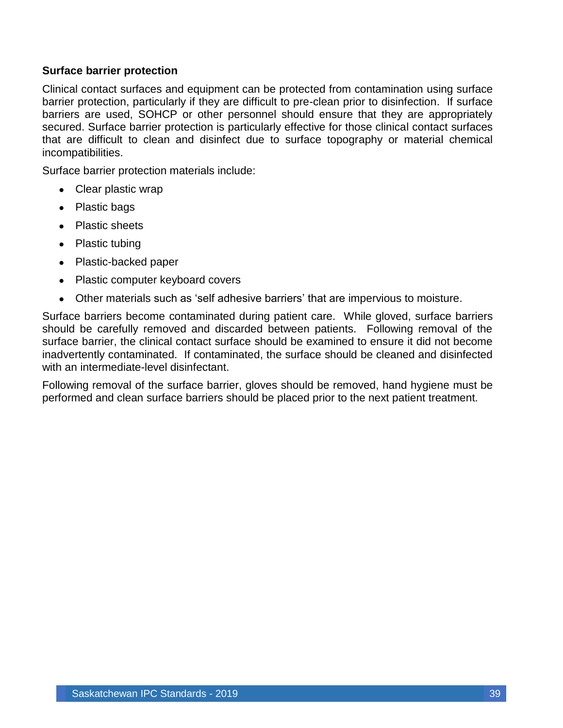#### **Surface barrier protection**

Clinical contact surfaces and equipment can be protected from contamination using surface barrier protection, particularly if they are difficult to pre-clean prior to disinfection. If surface barriers are used, SOHCP or other personnel should ensure that they are appropriately secured. Surface barrier protection is particularly effective for those clinical contact surfaces that are difficult to clean and disinfect due to surface topography or material chemical incompatibilities.

Surface barrier protection materials include:

- Clear plastic wrap
- Plastic bags
- Plastic sheets
- Plastic tubing
- Plastic-backed paper
- Plastic computer keyboard covers
- Other materials such as 'self adhesive barriers' that are impervious to moisture.

Surface barriers become contaminated during patient care. While gloved, surface barriers should be carefully removed and discarded between patients. Following removal of the surface barrier, the clinical contact surface should be examined to ensure it did not become inadvertently contaminated. If contaminated, the surface should be cleaned and disinfected with an intermediate-level disinfectant.

Following removal of the surface barrier, gloves should be removed, hand hygiene must be performed and clean surface barriers should be placed prior to the next patient treatment.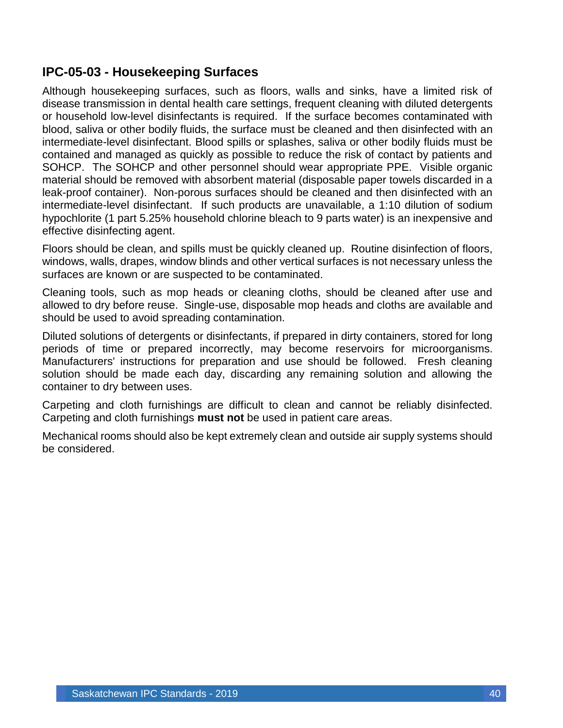### <span id="page-40-0"></span>**IPC-05-03 - Housekeeping Surfaces**

Although housekeeping surfaces, such as floors, walls and sinks, have a limited risk of disease transmission in dental health care settings, frequent cleaning with diluted detergents or household low-level disinfectants is required. If the surface becomes contaminated with blood, saliva or other bodily fluids, the surface must be cleaned and then disinfected with an intermediate-level disinfectant. Blood spills or splashes, saliva or other bodily fluids must be contained and managed as quickly as possible to reduce the risk of contact by patients and SOHCP. The SOHCP and other personnel should wear appropriate PPE. Visible organic material should be removed with absorbent material (disposable paper towels discarded in a leak-proof container). Non-porous surfaces should be cleaned and then disinfected with an intermediate-level disinfectant. If such products are unavailable, a 1:10 dilution of sodium hypochlorite (1 part 5.25% household chlorine bleach to 9 parts water) is an inexpensive and effective disinfecting agent.

Floors should be clean, and spills must be quickly cleaned up. Routine disinfection of floors, windows, walls, drapes, window blinds and other vertical surfaces is not necessary unless the surfaces are known or are suspected to be contaminated.

Cleaning tools, such as mop heads or cleaning cloths, should be cleaned after use and allowed to dry before reuse. Single-use, disposable mop heads and cloths are available and should be used to avoid spreading contamination.

Diluted solutions of detergents or disinfectants, if prepared in dirty containers, stored for long periods of time or prepared incorrectly, may become reservoirs for microorganisms. Manufacturers' instructions for preparation and use should be followed. Fresh cleaning solution should be made each day, discarding any remaining solution and allowing the container to dry between uses.

Carpeting and cloth furnishings are difficult to clean and cannot be reliably disinfected. Carpeting and cloth furnishings **must not** be used in patient care areas.

Mechanical rooms should also be kept extremely clean and outside air supply systems should be considered.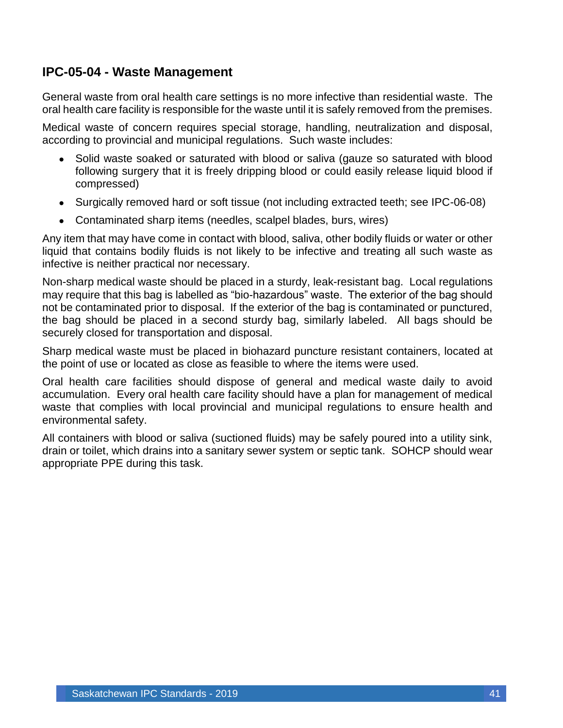#### <span id="page-41-0"></span>**IPC-05-04 - Waste Management**

General waste from oral health care settings is no more infective than residential waste. The oral health care facility is responsible for the waste until it is safely removed from the premises.

Medical waste of concern requires special storage, handling, neutralization and disposal, according to provincial and municipal regulations. Such waste includes:

- Solid waste soaked or saturated with blood or saliva (gauze so saturated with blood following surgery that it is freely dripping blood or could easily release liquid blood if compressed)
- Surgically removed hard or soft tissue (not including extracted teeth; see IPC-06-08)
- Contaminated sharp items (needles, scalpel blades, burs, wires)

Any item that may have come in contact with blood, saliva, other bodily fluids or water or other liquid that contains bodily fluids is not likely to be infective and treating all such waste as infective is neither practical nor necessary.

Non-sharp medical waste should be placed in a sturdy, leak-resistant bag. Local regulations may require that this bag is labelled as "bio-hazardous" waste. The exterior of the bag should not be contaminated prior to disposal. If the exterior of the bag is contaminated or punctured, the bag should be placed in a second sturdy bag, similarly labeled. All bags should be securely closed for transportation and disposal.

Sharp medical waste must be placed in biohazard puncture resistant containers, located at the point of use or located as close as feasible to where the items were used.

Oral health care facilities should dispose of general and medical waste daily to avoid accumulation. Every oral health care facility should have a plan for management of medical waste that complies with local provincial and municipal regulations to ensure health and environmental safety.

All containers with blood or saliva (suctioned fluids) may be safely poured into a utility sink, drain or toilet, which drains into a sanitary sewer system or septic tank. SOHCP should wear appropriate PPE during this task.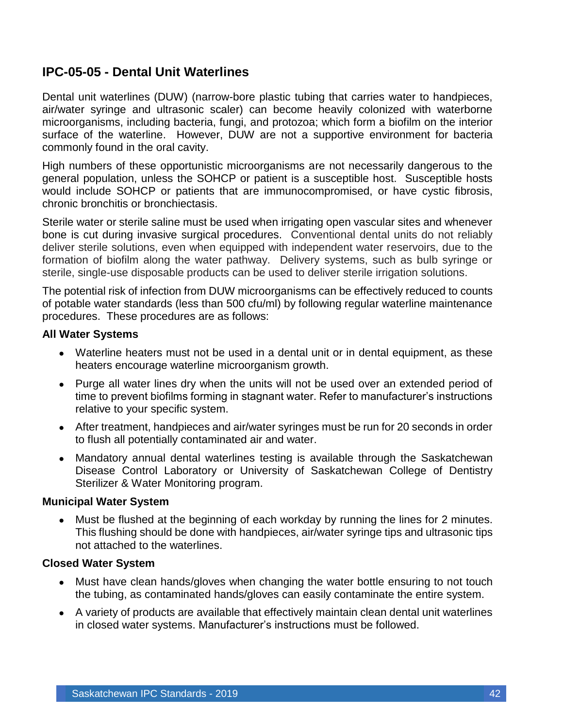### <span id="page-42-0"></span>**IPC-05-05 - Dental Unit Waterlines**

Dental unit waterlines (DUW) (narrow-bore plastic tubing that carries water to handpieces, air/water syringe and ultrasonic scaler) can become heavily colonized with waterborne microorganisms, including bacteria, fungi, and protozoa; which form a biofilm on the interior surface of the waterline. However, DUW are not a supportive environment for bacteria commonly found in the oral cavity.

High numbers of these opportunistic microorganisms are not necessarily dangerous to the general population, unless the SOHCP or patient is a susceptible host. Susceptible hosts would include SOHCP or patients that are immunocompromised, or have cystic fibrosis, chronic bronchitis or bronchiectasis.

Sterile water or sterile saline must be used when irrigating open vascular sites and whenever bone is cut during invasive surgical procedures. Conventional dental units do not reliably deliver sterile solutions, even when equipped with independent water reservoirs, due to the formation of biofilm along the water pathway. Delivery systems, such as bulb syringe or sterile, single-use disposable products can be used to deliver sterile irrigation solutions.

The potential risk of infection from DUW microorganisms can be effectively reduced to counts of potable water standards (less than 500 cfu/ml) by following regular waterline maintenance procedures. These procedures are as follows:

#### **All Water Systems**

- Waterline heaters must not be used in a dental unit or in dental equipment, as these heaters encourage waterline microorganism growth.
- Purge all water lines dry when the units will not be used over an extended period of time to prevent biofilms forming in stagnant water. Refer to manufacturer's instructions relative to your specific system.
- After treatment, handpieces and air/water syringes must be run for 20 seconds in order to flush all potentially contaminated air and water.
- Mandatory annual dental waterlines testing is available through the Saskatchewan Disease Control Laboratory or University of Saskatchewan College of Dentistry Sterilizer & Water Monitoring program.

#### **Municipal Water System**

• Must be flushed at the beginning of each workday by running the lines for 2 minutes. This flushing should be done with handpieces, air/water syringe tips and ultrasonic tips not attached to the waterlines.

#### **Closed Water System**

- Must have clean hands/gloves when changing the water bottle ensuring to not touch the tubing, as contaminated hands/gloves can easily contaminate the entire system.
- A variety of products are available that effectively maintain clean dental unit waterlines in closed water systems. Manufacturer's instructions must be followed.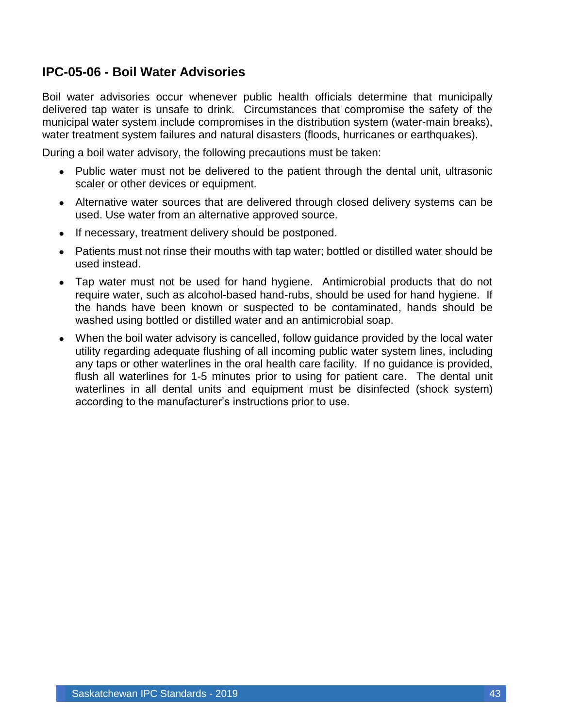### <span id="page-43-0"></span>**IPC-05-06 - Boil Water Advisories**

Boil water advisories occur whenever public health officials determine that municipally delivered tap water is unsafe to drink. Circumstances that compromise the safety of the municipal water system include compromises in the distribution system (water-main breaks), water treatment system failures and natural disasters (floods, hurricanes or earthquakes).

During a boil water advisory, the following precautions must be taken:

- Public water must not be delivered to the patient through the dental unit, ultrasonic scaler or other devices or equipment.
- Alternative water sources that are delivered through closed delivery systems can be used. Use water from an alternative approved source.
- If necessary, treatment delivery should be postponed.
- Patients must not rinse their mouths with tap water; bottled or distilled water should be used instead.
- Tap water must not be used for hand hygiene. Antimicrobial products that do not require water, such as alcohol-based hand-rubs, should be used for hand hygiene. If the hands have been known or suspected to be contaminated, hands should be washed using bottled or distilled water and an antimicrobial soap.
- When the boil water advisory is cancelled, follow guidance provided by the local water utility regarding adequate flushing of all incoming public water system lines, including any taps or other waterlines in the oral health care facility. If no guidance is provided, flush all waterlines for 1-5 minutes prior to using for patient care. The dental unit waterlines in all dental units and equipment must be disinfected (shock system) according to the manufacturer's instructions prior to use.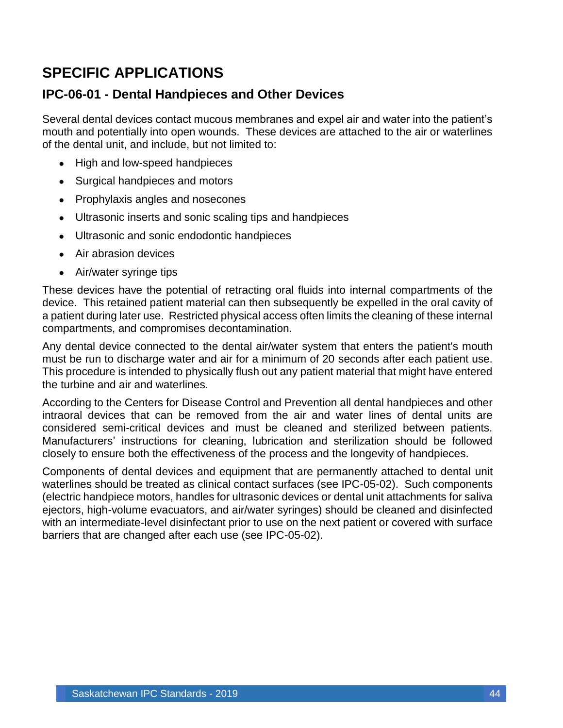# <span id="page-44-0"></span>**SPECIFIC APPLICATIONS**

#### <span id="page-44-1"></span>**IPC-06-01 - Dental Handpieces and Other Devices**

Several dental devices contact mucous membranes and expel air and water into the patient's mouth and potentially into open wounds. These devices are attached to the air or waterlines of the dental unit, and include, but not limited to:

- High and low-speed handpieces
- Surgical handpieces and motors
- Prophylaxis angles and nosecones
- Ultrasonic inserts and sonic scaling tips and handpieces
- Ultrasonic and sonic endodontic handpieces
- Air abrasion devices
- Air/water syringe tips

These devices have the potential of retracting oral fluids into internal compartments of the device. This retained patient material can then subsequently be expelled in the oral cavity of a patient during later use. Restricted physical access often limits the cleaning of these internal compartments, and compromises decontamination.

Any dental device connected to the dental air/water system that enters the patient's mouth must be run to discharge water and air for a minimum of 20 seconds after each patient use. This procedure is intended to physically flush out any patient material that might have entered the turbine and air and waterlines.

According to the Centers for Disease Control and Prevention all dental handpieces and other intraoral devices that can be removed from the air and water lines of dental units are considered semi-critical devices and must be cleaned and sterilized between patients. Manufacturers' instructions for cleaning, lubrication and sterilization should be followed closely to ensure both the effectiveness of the process and the longevity of handpieces.

Components of dental devices and equipment that are permanently attached to dental unit waterlines should be treated as clinical contact surfaces (see IPC-05-02). Such components (electric handpiece motors, handles for ultrasonic devices or dental unit attachments for saliva ejectors, high-volume evacuators, and air/water syringes) should be cleaned and disinfected with an intermediate-level disinfectant prior to use on the next patient or covered with surface barriers that are changed after each use (see IPC-05-02).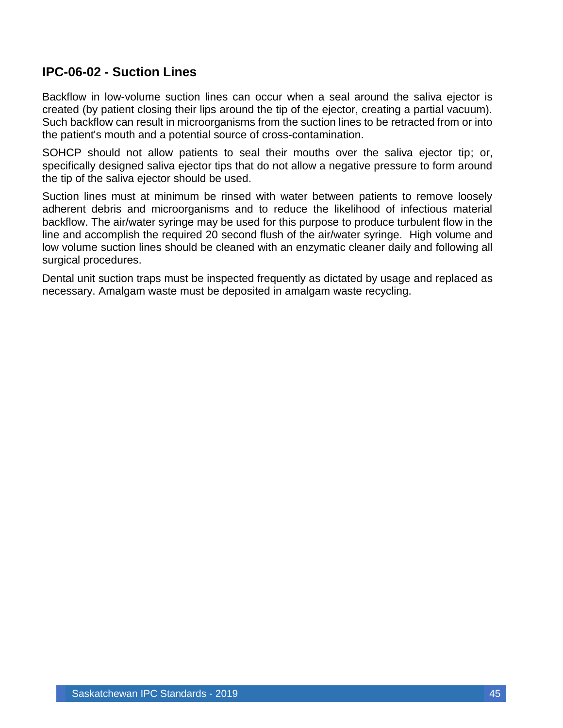### <span id="page-45-0"></span>**IPC-06-02 - Suction Lines**

Backflow in low-volume suction lines can occur when a seal around the saliva ejector is created (by patient closing their lips around the tip of the ejector, creating a partial vacuum). Such backflow can result in microorganisms from the suction lines to be retracted from or into the patient's mouth and a potential source of cross-contamination.

SOHCP should not allow patients to seal their mouths over the saliva ejector tip; or, specifically designed saliva ejector tips that do not allow a negative pressure to form around the tip of the saliva ejector should be used.

Suction lines must at minimum be rinsed with water between patients to remove loosely adherent debris and microorganisms and to reduce the likelihood of infectious material backflow. The air/water syringe may be used for this purpose to produce turbulent flow in the line and accomplish the required 20 second flush of the air/water syringe. High volume and low volume suction lines should be cleaned with an enzymatic cleaner daily and following all surgical procedures.

Dental unit suction traps must be inspected frequently as dictated by usage and replaced as necessary. Amalgam waste must be deposited in amalgam waste recycling.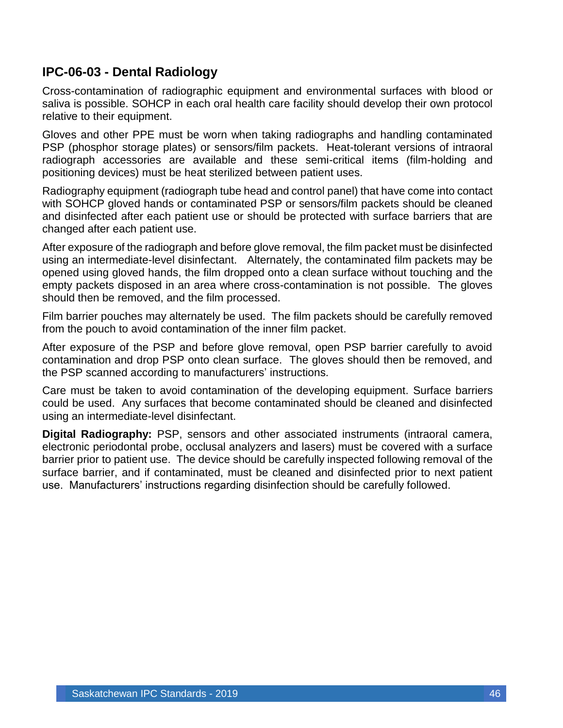### <span id="page-46-0"></span>**IPC-06-03 - Dental Radiology**

Cross-contamination of radiographic equipment and environmental surfaces with blood or saliva is possible. SOHCP in each oral health care facility should develop their own protocol relative to their equipment.

Gloves and other PPE must be worn when taking radiographs and handling contaminated PSP (phosphor storage plates) or sensors/film packets. Heat-tolerant versions of intraoral radiograph accessories are available and these semi-critical items (film-holding and positioning devices) must be heat sterilized between patient uses.

Radiography equipment (radiograph tube head and control panel) that have come into contact with SOHCP gloved hands or contaminated PSP or sensors/film packets should be cleaned and disinfected after each patient use or should be protected with surface barriers that are changed after each patient use.

After exposure of the radiograph and before glove removal, the film packet must be disinfected using an intermediate-level disinfectant. Alternately, the contaminated film packets may be opened using gloved hands, the film dropped onto a clean surface without touching and the empty packets disposed in an area where cross-contamination is not possible. The gloves should then be removed, and the film processed.

Film barrier pouches may alternately be used. The film packets should be carefully removed from the pouch to avoid contamination of the inner film packet.

After exposure of the PSP and before glove removal, open PSP barrier carefully to avoid contamination and drop PSP onto clean surface. The gloves should then be removed, and the PSP scanned according to manufacturers' instructions.

Care must be taken to avoid contamination of the developing equipment. Surface barriers could be used. Any surfaces that become contaminated should be cleaned and disinfected using an intermediate-level disinfectant.

**Digital Radiography:** PSP, sensors and other associated instruments (intraoral camera, electronic periodontal probe, occlusal analyzers and lasers) must be covered with a surface barrier prior to patient use. The device should be carefully inspected following removal of the surface barrier, and if contaminated, must be cleaned and disinfected prior to next patient use. Manufacturers' instructions regarding disinfection should be carefully followed.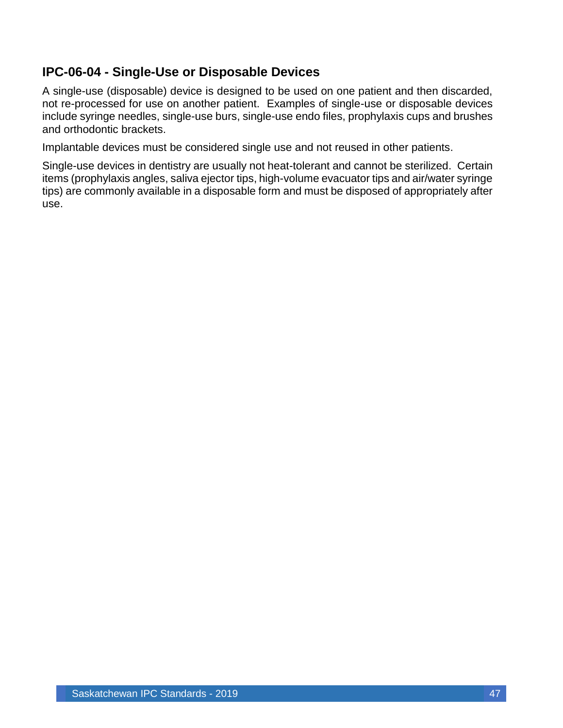### <span id="page-47-0"></span>**IPC-06-04 - Single-Use or Disposable Devices**

A single-use (disposable) device is designed to be used on one patient and then discarded, not re-processed for use on another patient. Examples of single-use or disposable devices include syringe needles, single-use burs, single-use endo files, prophylaxis cups and brushes and orthodontic brackets.

Implantable devices must be considered single use and not reused in other patients.

Single-use devices in dentistry are usually not heat-tolerant and cannot be sterilized. Certain items (prophylaxis angles, saliva ejector tips, high-volume evacuator tips and air/water syringe tips) are commonly available in a disposable form and must be disposed of appropriately after use.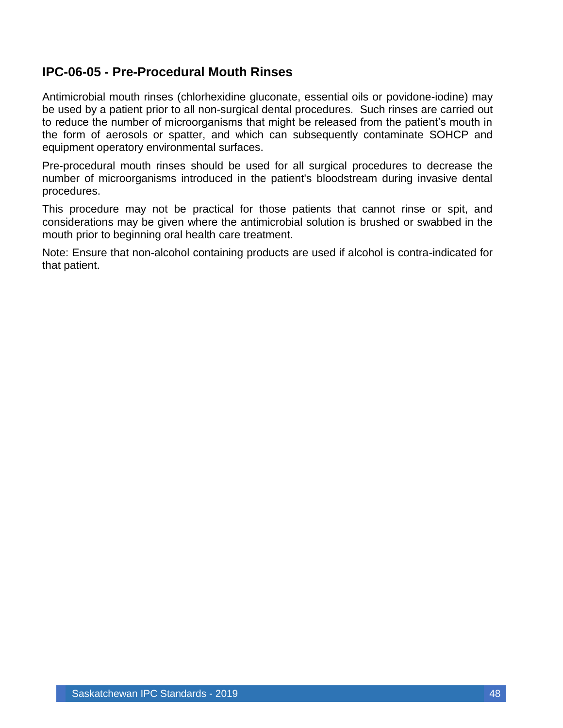### <span id="page-48-0"></span>**IPC-06-05 - Pre-Procedural Mouth Rinses**

Antimicrobial mouth rinses (chlorhexidine gluconate, essential oils or povidone-iodine) may be used by a patient prior to all non-surgical dental procedures. Such rinses are carried out to reduce the number of microorganisms that might be released from the patient's mouth in the form of aerosols or spatter, and which can subsequently contaminate SOHCP and equipment operatory environmental surfaces.

Pre-procedural mouth rinses should be used for all surgical procedures to decrease the number of microorganisms introduced in the patient's bloodstream during invasive dental procedures.

This procedure may not be practical for those patients that cannot rinse or spit, and considerations may be given where the antimicrobial solution is brushed or swabbed in the mouth prior to beginning oral health care treatment.

Note: Ensure that non-alcohol containing products are used if alcohol is contra-indicated for that patient.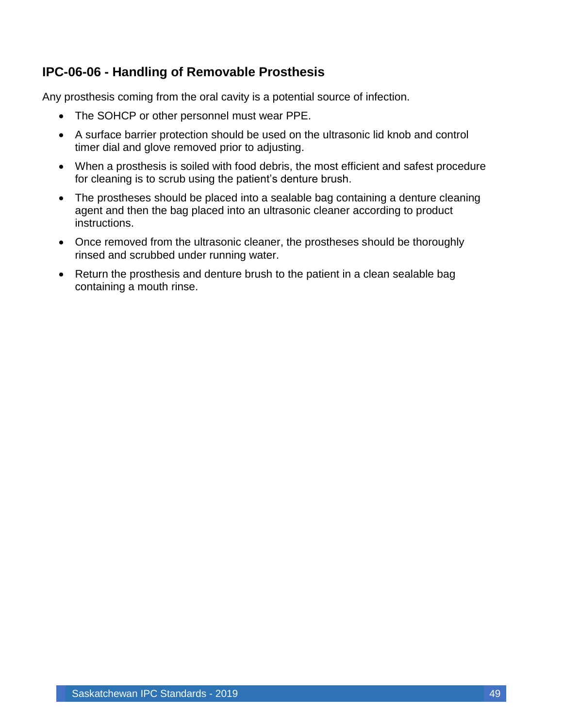### <span id="page-49-0"></span>**IPC-06-06 - Handling of Removable Prosthesis**

Any prosthesis coming from the oral cavity is a potential source of infection.

- The SOHCP or other personnel must wear PPE.
- A surface barrier protection should be used on the ultrasonic lid knob and control timer dial and glove removed prior to adjusting.
- When a prosthesis is soiled with food debris, the most efficient and safest procedure for cleaning is to scrub using the patient's denture brush.
- The prostheses should be placed into a sealable bag containing a denture cleaning agent and then the bag placed into an ultrasonic cleaner according to product instructions.
- Once removed from the ultrasonic cleaner, the prostheses should be thoroughly rinsed and scrubbed under running water.
- Return the prosthesis and denture brush to the patient in a clean sealable bag containing a mouth rinse.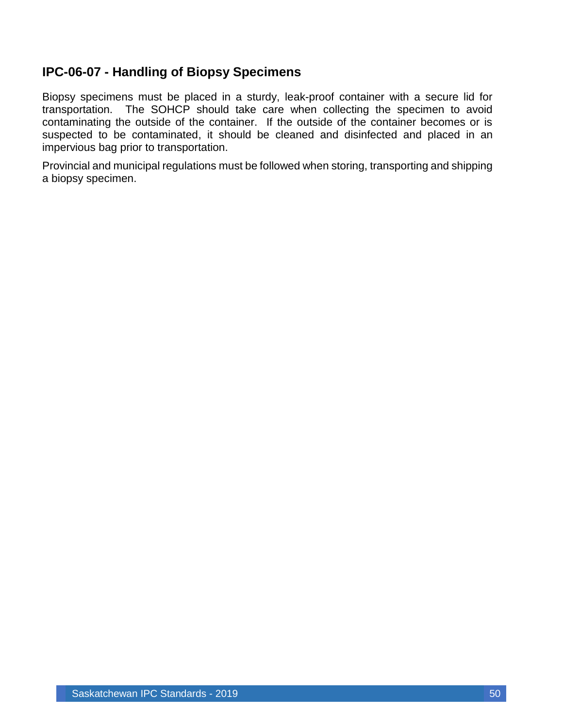### <span id="page-50-0"></span>**IPC-06-07 - Handling of Biopsy Specimens**

Biopsy specimens must be placed in a sturdy, leak-proof container with a secure lid for transportation. The SOHCP should take care when collecting the specimen to avoid contaminating the outside of the container. If the outside of the container becomes or is suspected to be contaminated, it should be cleaned and disinfected and placed in an impervious bag prior to transportation.

Provincial and municipal regulations must be followed when storing, transporting and shipping a biopsy specimen.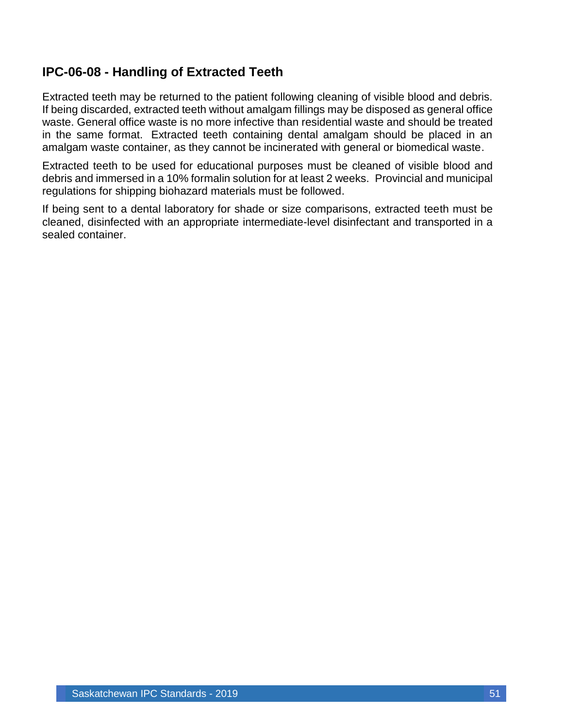### <span id="page-51-0"></span>**IPC-06-08 - Handling of Extracted Teeth**

Extracted teeth may be returned to the patient following cleaning of visible blood and debris. If being discarded, extracted teeth without amalgam fillings may be disposed as general office waste. General office waste is no more infective than residential waste and should be treated in the same format. Extracted teeth containing dental amalgam should be placed in an amalgam waste container, as they cannot be incinerated with general or biomedical waste.

Extracted teeth to be used for educational purposes must be cleaned of visible blood and debris and immersed in a 10% formalin solution for at least 2 weeks. Provincial and municipal regulations for shipping biohazard materials must be followed.

If being sent to a dental laboratory for shade or size comparisons, extracted teeth must be cleaned, disinfected with an appropriate intermediate-level disinfectant and transported in a sealed container.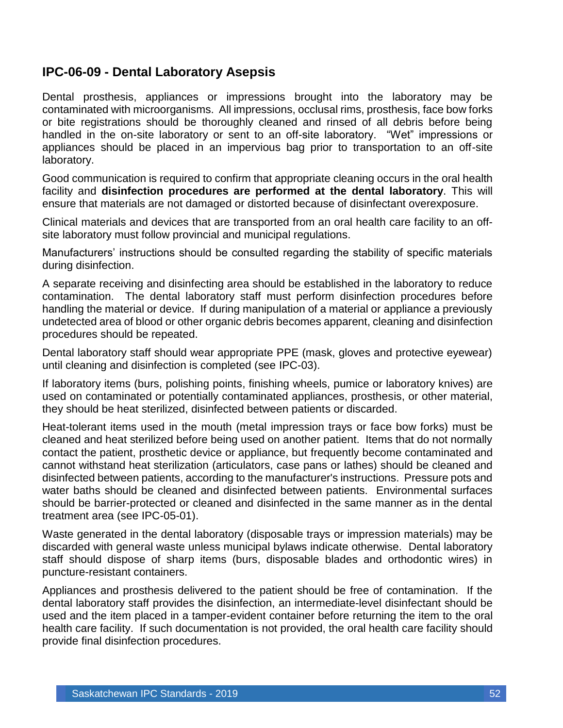### <span id="page-52-0"></span>**IPC-06-09 - Dental Laboratory Asepsis**

Dental prosthesis, appliances or impressions brought into the laboratory may be contaminated with microorganisms. All impressions, occlusal rims, prosthesis, face bow forks or bite registrations should be thoroughly cleaned and rinsed of all debris before being handled in the on-site laboratory or sent to an off-site laboratory. "Wet" impressions or appliances should be placed in an impervious bag prior to transportation to an off-site laboratory.

Good communication is required to confirm that appropriate cleaning occurs in the oral health facility and **disinfection procedures are performed at the dental laboratory**. This will ensure that materials are not damaged or distorted because of disinfectant overexposure.

Clinical materials and devices that are transported from an oral health care facility to an offsite laboratory must follow provincial and municipal regulations.

Manufacturers' instructions should be consulted regarding the stability of specific materials during disinfection.

A separate receiving and disinfecting area should be established in the laboratory to reduce contamination. The dental laboratory staff must perform disinfection procedures before handling the material or device. If during manipulation of a material or appliance a previously undetected area of blood or other organic debris becomes apparent, cleaning and disinfection procedures should be repeated.

Dental laboratory staff should wear appropriate PPE (mask, gloves and protective eyewear) until cleaning and disinfection is completed (see IPC-03).

If laboratory items (burs, polishing points, finishing wheels, pumice or laboratory knives) are used on contaminated or potentially contaminated appliances, prosthesis, or other material, they should be heat sterilized, disinfected between patients or discarded.

Heat-tolerant items used in the mouth (metal impression trays or face bow forks) must be cleaned and heat sterilized before being used on another patient. Items that do not normally contact the patient, prosthetic device or appliance, but frequently become contaminated and cannot withstand heat sterilization (articulators, case pans or lathes) should be cleaned and disinfected between patients, according to the manufacturer's instructions. Pressure pots and water baths should be cleaned and disinfected between patients. Environmental surfaces should be barrier-protected or cleaned and disinfected in the same manner as in the dental treatment area (see IPC-05-01).

Waste generated in the dental laboratory (disposable trays or impression materials) may be discarded with general waste unless municipal bylaws indicate otherwise. Dental laboratory staff should dispose of sharp items (burs, disposable blades and orthodontic wires) in puncture-resistant containers.

Appliances and prosthesis delivered to the patient should be free of contamination. If the dental laboratory staff provides the disinfection, an intermediate-level disinfectant should be used and the item placed in a tamper-evident container before returning the item to the oral health care facility. If such documentation is not provided, the oral health care facility should provide final disinfection procedures.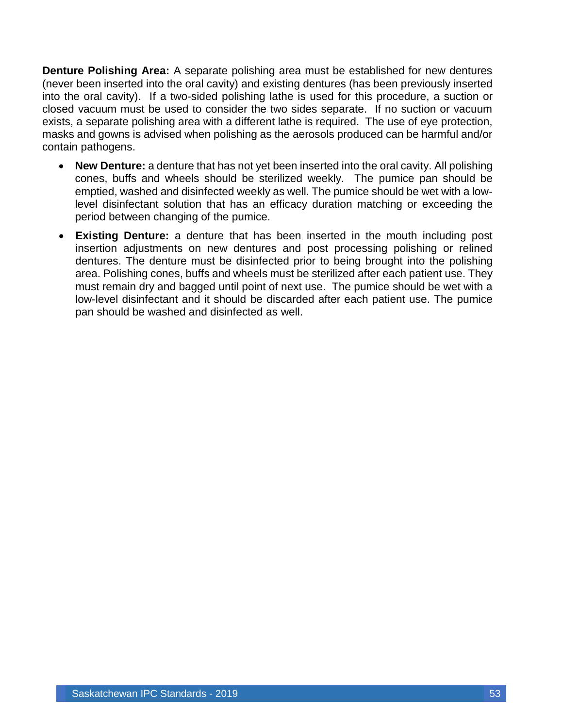**Denture Polishing Area:** A separate polishing area must be established for new dentures (never been inserted into the oral cavity) and existing dentures (has been previously inserted into the oral cavity). If a two-sided polishing lathe is used for this procedure, a suction or closed vacuum must be used to consider the two sides separate. If no suction or vacuum exists, a separate polishing area with a different lathe is required. The use of eye protection, masks and gowns is advised when polishing as the aerosols produced can be harmful and/or contain pathogens.

- **New Denture:** a denture that has not yet been inserted into the oral cavity. All polishing cones, buffs and wheels should be sterilized weekly. The pumice pan should be emptied, washed and disinfected weekly as well. The pumice should be wet with a lowlevel disinfectant solution that has an efficacy duration matching or exceeding the period between changing of the pumice.
- **Existing Denture:** a denture that has been inserted in the mouth including post insertion adjustments on new dentures and post processing polishing or relined dentures. The denture must be disinfected prior to being brought into the polishing area. Polishing cones, buffs and wheels must be sterilized after each patient use. They must remain dry and bagged until point of next use. The pumice should be wet with a low-level disinfectant and it should be discarded after each patient use. The pumice pan should be washed and disinfected as well.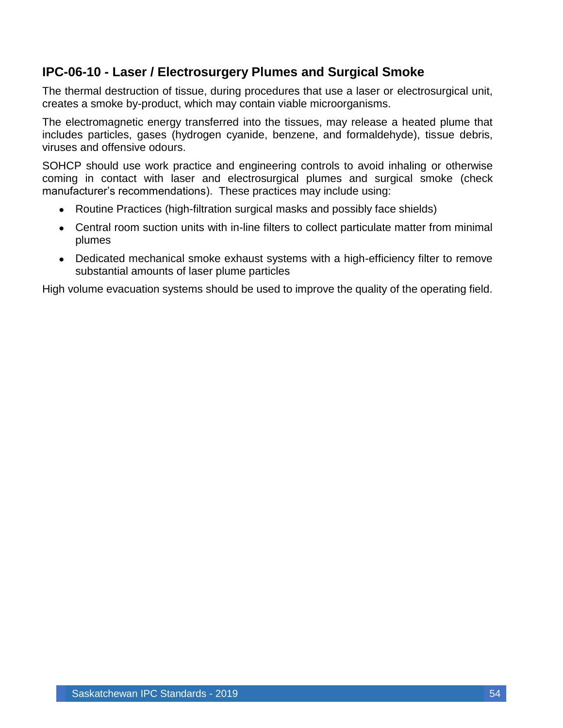### <span id="page-54-0"></span>**IPC-06-10 - Laser / Electrosurgery Plumes and Surgical Smoke**

The thermal destruction of tissue, during procedures that use a laser or electrosurgical unit, creates a smoke by-product, which may contain viable microorganisms.

The electromagnetic energy transferred into the tissues, may release a heated plume that includes particles, gases (hydrogen cyanide, benzene, and formaldehyde), tissue debris, viruses and offensive odours.

SOHCP should use work practice and engineering controls to avoid inhaling or otherwise coming in contact with laser and electrosurgical plumes and surgical smoke (check manufacturer's recommendations). These practices may include using:

- Routine Practices (high-filtration surgical masks and possibly face shields)
- Central room suction units with in-line filters to collect particulate matter from minimal plumes
- Dedicated mechanical smoke exhaust systems with a high-efficiency filter to remove substantial amounts of laser plume particles

High volume evacuation systems should be used to improve the quality of the operating field.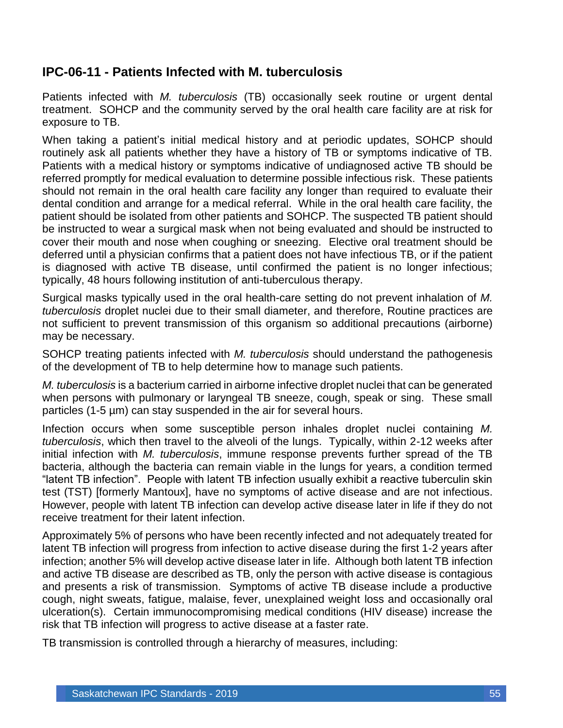#### <span id="page-55-0"></span>**IPC-06-11 - Patients Infected with M. tuberculosis**

Patients infected with *M. tuberculosis* (TB) occasionally seek routine or urgent dental treatment. SOHCP and the community served by the oral health care facility are at risk for exposure to TB.

When taking a patient's initial medical history and at periodic updates, SOHCP should routinely ask all patients whether they have a history of TB or symptoms indicative of TB. Patients with a medical history or symptoms indicative of undiagnosed active TB should be referred promptly for medical evaluation to determine possible infectious risk. These patients should not remain in the oral health care facility any longer than required to evaluate their dental condition and arrange for a medical referral. While in the oral health care facility, the patient should be isolated from other patients and SOHCP. The suspected TB patient should be instructed to wear a surgical mask when not being evaluated and should be instructed to cover their mouth and nose when coughing or sneezing. Elective oral treatment should be deferred until a physician confirms that a patient does not have infectious TB, or if the patient is diagnosed with active TB disease, until confirmed the patient is no longer infectious; typically, 48 hours following institution of anti-tuberculous therapy.

Surgical masks typically used in the oral health-care setting do not prevent inhalation of *M. tuberculosis* droplet nuclei due to their small diameter, and therefore, Routine practices are not sufficient to prevent transmission of this organism so additional precautions (airborne) may be necessary.

SOHCP treating patients infected with *M. tuberculosis* should understand the pathogenesis of the development of TB to help determine how to manage such patients.

*M. tuberculosis* is a bacterium carried in airborne infective droplet nuclei that can be generated when persons with pulmonary or laryngeal TB sneeze, cough, speak or sing. These small particles (1-5 µm) can stay suspended in the air for several hours.

Infection occurs when some susceptible person inhales droplet nuclei containing *M. tuberculosis*, which then travel to the alveoli of the lungs. Typically, within 2-12 weeks after initial infection with *M. tuberculosis*, immune response prevents further spread of the TB bacteria, although the bacteria can remain viable in the lungs for years, a condition termed "latent TB infection". People with latent TB infection usually exhibit a reactive tuberculin skin test (TST) [formerly Mantoux], have no symptoms of active disease and are not infectious. However, people with latent TB infection can develop active disease later in life if they do not receive treatment for their latent infection.

Approximately 5% of persons who have been recently infected and not adequately treated for latent TB infection will progress from infection to active disease during the first 1-2 years after infection; another 5% will develop active disease later in life. Although both latent TB infection and active TB disease are described as TB, only the person with active disease is contagious and presents a risk of transmission. Symptoms of active TB disease include a productive cough, night sweats, fatigue, malaise, fever, unexplained weight loss and occasionally oral ulceration(s). Certain immunocompromising medical conditions (HIV disease) increase the risk that TB infection will progress to active disease at a faster rate.

TB transmission is controlled through a hierarchy of measures, including: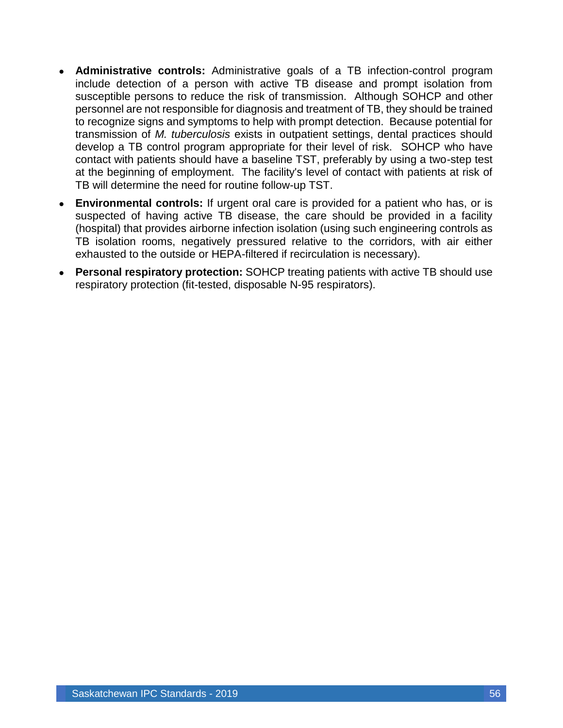- **Administrative controls:** Administrative goals of a TB infection-control program include detection of a person with active TB disease and prompt isolation from susceptible persons to reduce the risk of transmission. Although SOHCP and other personnel are not responsible for diagnosis and treatment of TB, they should be trained to recognize signs and symptoms to help with prompt detection. Because potential for transmission of *M. tuberculosis* exists in outpatient settings, dental practices should develop a TB control program appropriate for their level of risk. SOHCP who have contact with patients should have a baseline TST, preferably by using a two-step test at the beginning of employment. The facility's level of contact with patients at risk of TB will determine the need for routine follow-up TST.
- **Environmental controls:** If urgent oral care is provided for a patient who has, or is suspected of having active TB disease, the care should be provided in a facility (hospital) that provides airborne infection isolation (using such engineering controls as TB isolation rooms, negatively pressured relative to the corridors, with air either exhausted to the outside or HEPA-filtered if recirculation is necessary).
- **Personal respiratory protection:** SOHCP treating patients with active TB should use respiratory protection (fit-tested, disposable N-95 respirators).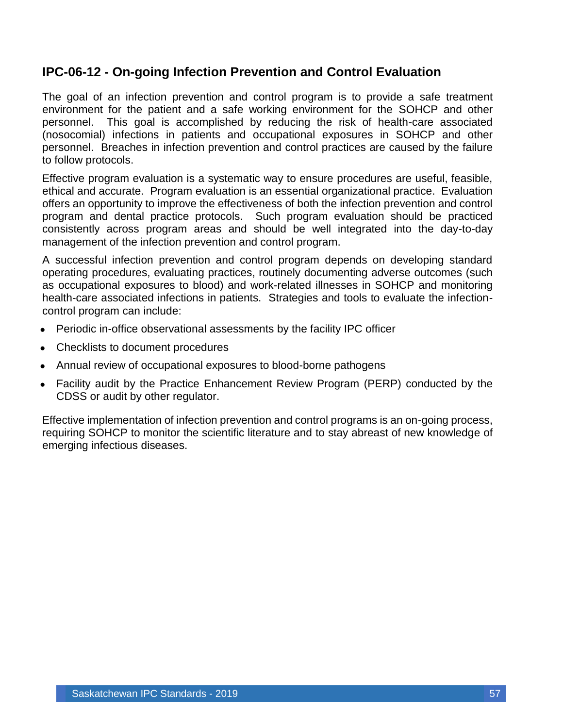#### <span id="page-57-0"></span>**IPC-06-12 - On-going Infection Prevention and Control Evaluation**

The goal of an infection prevention and control program is to provide a safe treatment environment for the patient and a safe working environment for the SOHCP and other personnel. This goal is accomplished by reducing the risk of health-care associated (nosocomial) infections in patients and occupational exposures in SOHCP and other personnel. Breaches in infection prevention and control practices are caused by the failure to follow protocols.

Effective program evaluation is a systematic way to ensure procedures are useful, feasible, ethical and accurate. Program evaluation is an essential organizational practice. Evaluation offers an opportunity to improve the effectiveness of both the infection prevention and control program and dental practice protocols. Such program evaluation should be practiced consistently across program areas and should be well integrated into the day-to-day management of the infection prevention and control program.

A successful infection prevention and control program depends on developing standard operating procedures, evaluating practices, routinely documenting adverse outcomes (such as occupational exposures to blood) and work-related illnesses in SOHCP and monitoring health-care associated infections in patients. Strategies and tools to evaluate the infectioncontrol program can include:

- Periodic in-office observational assessments by the facility IPC officer
- Checklists to document procedures
- Annual review of occupational exposures to blood-borne pathogens
- Facility audit by the Practice Enhancement Review Program (PERP) conducted by the CDSS or audit by other regulator.

Effective implementation of infection prevention and control programs is an on-going process, requiring SOHCP to monitor the scientific literature and to stay abreast of new knowledge of emerging infectious diseases.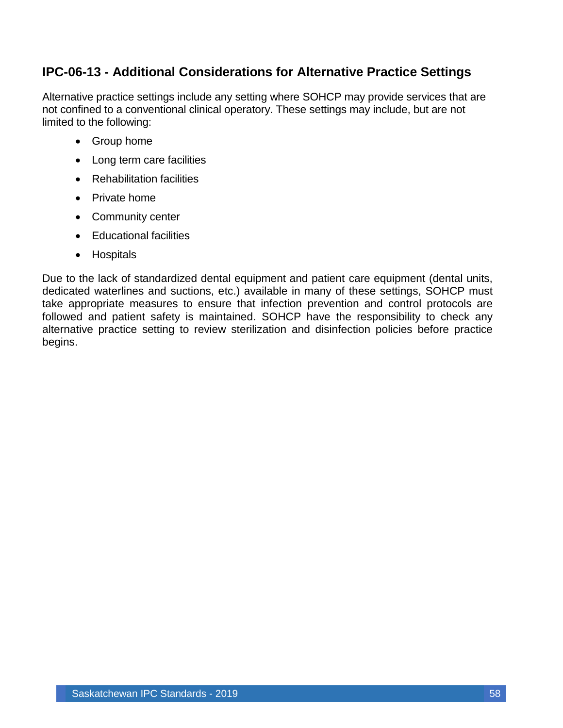### <span id="page-58-0"></span>**IPC-06-13 - Additional Considerations for Alternative Practice Settings**

Alternative practice settings include any setting where SOHCP may provide services that are not confined to a conventional clinical operatory. These settings may include, but are not limited to the following:

- Group home
- Long term care facilities
- Rehabilitation facilities
- Private home
- Community center
- Educational facilities
- Hospitals

Due to the lack of standardized dental equipment and patient care equipment (dental units, dedicated waterlines and suctions, etc.) available in many of these settings, SOHCP must take appropriate measures to ensure that infection prevention and control protocols are followed and patient safety is maintained. SOHCP have the responsibility to check any alternative practice setting to review sterilization and disinfection policies before practice begins.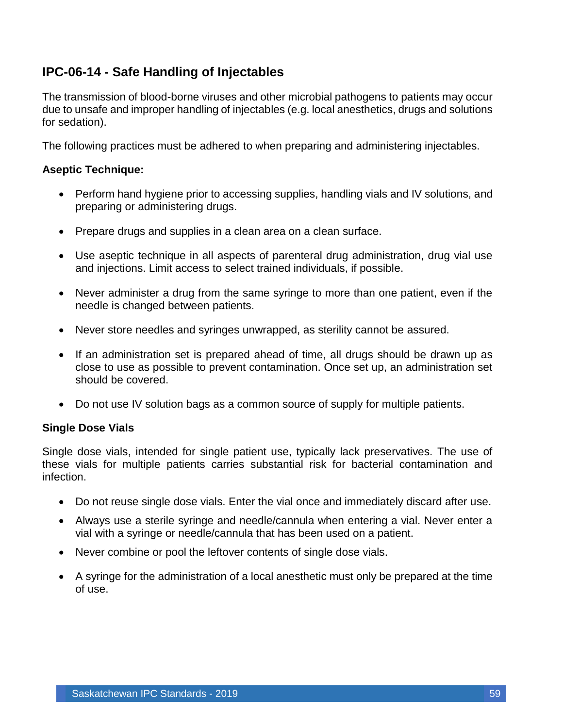### <span id="page-59-0"></span>**IPC-06-14 - Safe Handling of Injectables**

The transmission of blood-borne viruses and other microbial pathogens to patients may occur due to unsafe and improper handling of injectables (e.g. local anesthetics, drugs and solutions for sedation).

The following practices must be adhered to when preparing and administering injectables.

#### **Aseptic Technique:**

- Perform hand hygiene prior to accessing supplies, handling vials and IV solutions, and preparing or administering drugs.
- Prepare drugs and supplies in a clean area on a clean surface.
- Use aseptic technique in all aspects of parenteral drug administration, drug vial use and injections. Limit access to select trained individuals, if possible.
- Never administer a drug from the same syringe to more than one patient, even if the needle is changed between patients.
- Never store needles and syringes unwrapped, as sterility cannot be assured.
- If an administration set is prepared ahead of time, all drugs should be drawn up as close to use as possible to prevent contamination. Once set up, an administration set should be covered.
- Do not use IV solution bags as a common source of supply for multiple patients.

#### **Single Dose Vials**

Single dose vials, intended for single patient use, typically lack preservatives. The use of these vials for multiple patients carries substantial risk for bacterial contamination and infection.

- Do not reuse single dose vials. Enter the vial once and immediately discard after use.
- Always use a sterile syringe and needle/cannula when entering a vial. Never enter a vial with a syringe or needle/cannula that has been used on a patient.
- Never combine or pool the leftover contents of single dose vials.
- A syringe for the administration of a local anesthetic must only be prepared at the time of use.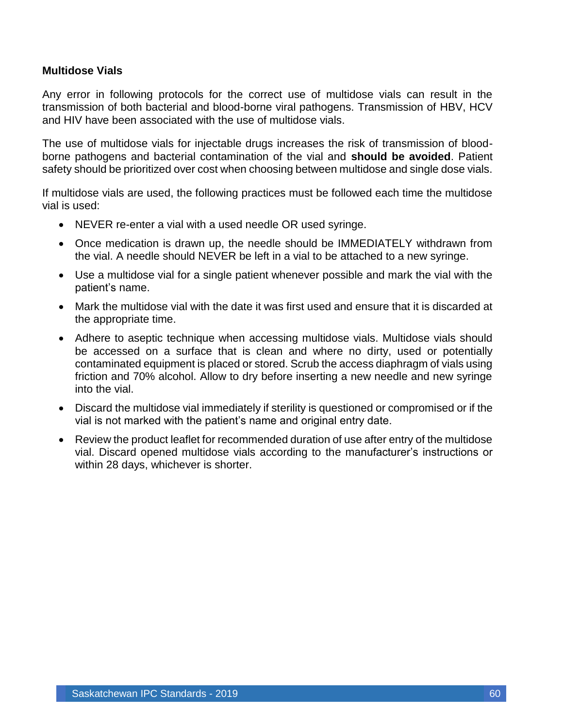#### **Multidose Vials**

Any error in following protocols for the correct use of multidose vials can result in the transmission of both bacterial and blood-borne viral pathogens. Transmission of HBV, HCV and HIV have been associated with the use of multidose vials.

The use of multidose vials for injectable drugs increases the risk of transmission of bloodborne pathogens and bacterial contamination of the vial and **should be avoided**. Patient safety should be prioritized over cost when choosing between multidose and single dose vials.

If multidose vials are used, the following practices must be followed each time the multidose vial is used:

- NEVER re-enter a vial with a used needle OR used syringe.
- Once medication is drawn up, the needle should be IMMEDIATELY withdrawn from the vial. A needle should NEVER be left in a vial to be attached to a new syringe.
- Use a multidose vial for a single patient whenever possible and mark the vial with the patient's name.
- Mark the multidose vial with the date it was first used and ensure that it is discarded at the appropriate time.
- Adhere to aseptic technique when accessing multidose vials. Multidose vials should be accessed on a surface that is clean and where no dirty, used or potentially contaminated equipment is placed or stored. Scrub the access diaphragm of vials using friction and 70% alcohol. Allow to dry before inserting a new needle and new syringe into the vial.
- Discard the multidose vial immediately if sterility is questioned or compromised or if the vial is not marked with the patient's name and original entry date.
- Review the product leaflet for recommended duration of use after entry of the multidose vial. Discard opened multidose vials according to the manufacturer's instructions or within 28 days, whichever is shorter.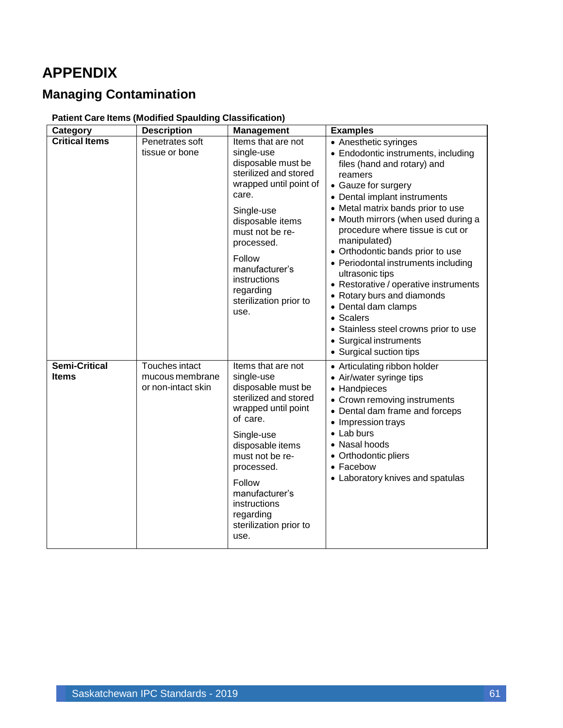# <span id="page-61-0"></span>**APPENDIX**

# <span id="page-61-1"></span>**Managing Contamination**

#### **Patient Care Items (Modified Spaulding Classification)**

| Category                             | <b>Description</b>                                      | <b>Management</b>                                                                                                                                                                                                                                                                | <b>Examples</b>                                                                                                                                                                                                                                                                                                                                                                                                                                                                                                                                                                                      |
|--------------------------------------|---------------------------------------------------------|----------------------------------------------------------------------------------------------------------------------------------------------------------------------------------------------------------------------------------------------------------------------------------|------------------------------------------------------------------------------------------------------------------------------------------------------------------------------------------------------------------------------------------------------------------------------------------------------------------------------------------------------------------------------------------------------------------------------------------------------------------------------------------------------------------------------------------------------------------------------------------------------|
| <b>Critical Items</b>                | Penetrates soft<br>tissue or bone                       | Items that are not<br>single-use<br>disposable must be<br>sterilized and stored<br>wrapped until point of<br>care.<br>Single-use<br>disposable items<br>must not be re-<br>processed.<br>Follow<br>manufacturer's<br>instructions<br>regarding<br>sterilization prior to<br>use. | • Anesthetic syringes<br>• Endodontic instruments, including<br>files (hand and rotary) and<br>reamers<br>• Gauze for surgery<br>• Dental implant instruments<br>• Metal matrix bands prior to use<br>• Mouth mirrors (when used during a<br>procedure where tissue is cut or<br>manipulated)<br>• Orthodontic bands prior to use<br>• Periodontal instruments including<br>ultrasonic tips<br>• Restorative / operative instruments<br>• Rotary burs and diamonds<br>• Dental dam clamps<br>• Scalers<br>• Stainless steel crowns prior to use<br>• Surgical instruments<br>• Surgical suction tips |
| <b>Semi-Critical</b><br><b>Items</b> | Touches intact<br>mucous membrane<br>or non-intact skin | Items that are not<br>single-use<br>disposable must be<br>sterilized and stored<br>wrapped until point<br>of care.<br>Single-use<br>disposable items<br>must not be re-<br>processed.<br>Follow<br>manufacturer's<br>instructions<br>regarding<br>sterilization prior to<br>use. | • Articulating ribbon holder<br>• Air/water syringe tips<br>• Handpieces<br>• Crown removing instruments<br>• Dental dam frame and forceps<br>• Impression trays<br>• Lab burs<br>• Nasal hoods<br>• Orthodontic pliers<br>• Facebow<br>• Laboratory knives and spatulas                                                                                                                                                                                                                                                                                                                             |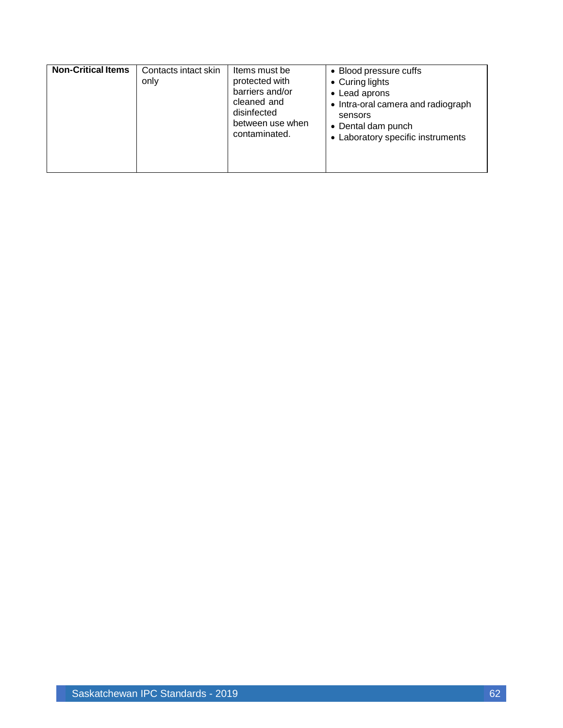| <b>Non-Critical Items</b> | Contacts intact skin<br>only | Items must be<br>protected with<br>barriers and/or<br>cleaned and<br>disinfected<br>between use when<br>contaminated. | • Blood pressure cuffs<br>• Curing lights<br>• Lead aprons<br>• Intra-oral camera and radiograph<br>sensors<br>• Dental dam punch<br>• Laboratory specific instruments |
|---------------------------|------------------------------|-----------------------------------------------------------------------------------------------------------------------|------------------------------------------------------------------------------------------------------------------------------------------------------------------------|
|---------------------------|------------------------------|-----------------------------------------------------------------------------------------------------------------------|------------------------------------------------------------------------------------------------------------------------------------------------------------------------|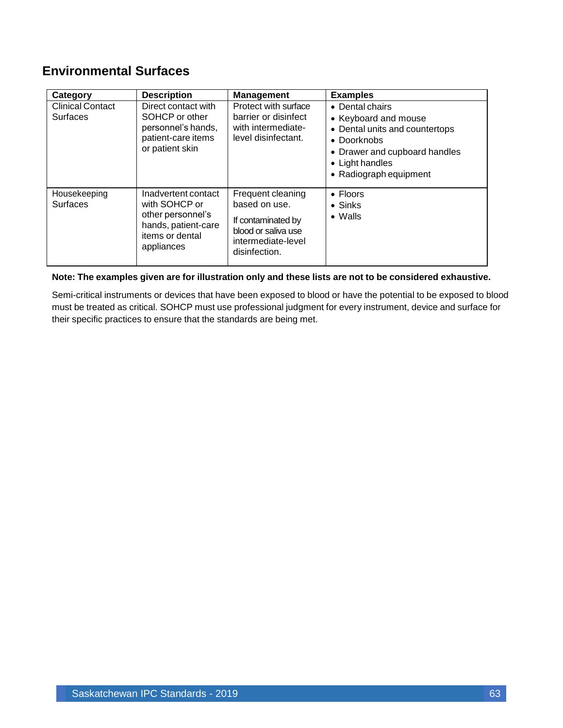### <span id="page-63-0"></span>**Environmental Surfaces**

| Category                                   | <b>Description</b>                                                                                                | <b>Management</b>                                                                                                      | <b>Examples</b>                                                                                                                                                                |
|--------------------------------------------|-------------------------------------------------------------------------------------------------------------------|------------------------------------------------------------------------------------------------------------------------|--------------------------------------------------------------------------------------------------------------------------------------------------------------------------------|
| <b>Clinical Contact</b><br><b>Surfaces</b> | Direct contact with<br>SOHCP or other<br>personnel's hands,<br>patient-care items<br>or patient skin              | Protect with surface<br>barrier or disinfect<br>with intermediate-<br>level disinfectant.                              | • Dental chairs<br>• Keyboard and mouse<br>• Dental units and countertops<br>$\bullet$ Doorknobs<br>• Drawer and cupboard handles<br>• Light handles<br>• Radiograph equipment |
| Housekeeping<br><b>Surfaces</b>            | Inadvertent contact<br>with SOHCP or<br>other personnel's<br>hands, patient-care<br>items or dental<br>appliances | Frequent cleaning<br>based on use.<br>If contaminated by<br>blood or saliva use<br>intermediate-level<br>disinfection. | • Floors<br>$\bullet$ Sinks<br>$\bullet$ Walls                                                                                                                                 |

#### **Note: The examples given are for illustration only and these lists are not to be considered exhaustive.**

Semi-critical instruments or devices that have been exposed to blood or have the potential to be exposed to blood must be treated as critical. SOHCP must use professional judgment for every instrument, device and surface for their specific practices to ensure that the standards are being met.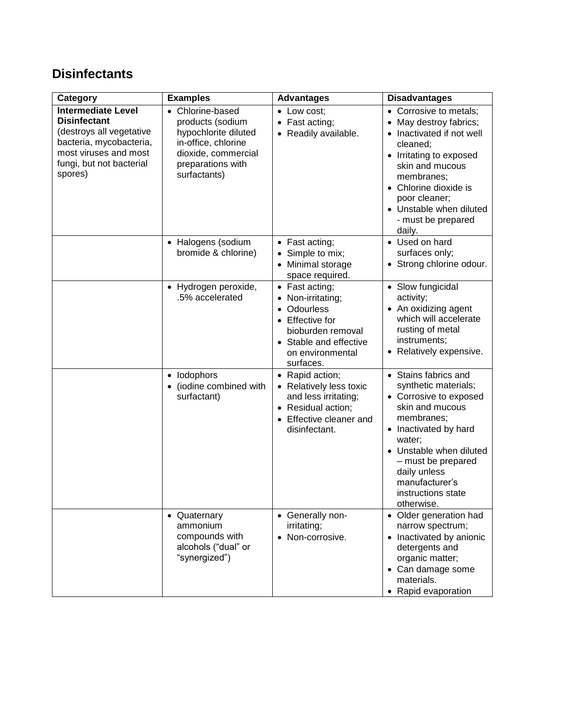### <span id="page-64-0"></span>**Disinfectants**

| Category                                                                                                                                                                | <b>Examples</b>                                                                                                                                 | <b>Advantages</b>                                                                                                                                                                                                                                                                                                                                                           | <b>Disadvantages</b>                                                                                                                                                                                                                                                                                                                                          |
|-------------------------------------------------------------------------------------------------------------------------------------------------------------------------|-------------------------------------------------------------------------------------------------------------------------------------------------|-----------------------------------------------------------------------------------------------------------------------------------------------------------------------------------------------------------------------------------------------------------------------------------------------------------------------------------------------------------------------------|---------------------------------------------------------------------------------------------------------------------------------------------------------------------------------------------------------------------------------------------------------------------------------------------------------------------------------------------------------------|
| <b>Intermediate Level</b><br><b>Disinfectant</b><br>(destroys all vegetative<br>bacteria, mycobacteria,<br>most viruses and most<br>fungi, but not bacterial<br>spores) | • Chlorine-based<br>products (sodium<br>hypochlorite diluted<br>in-office, chlorine<br>dioxide, commercial<br>preparations with<br>surfactants) | • Low cost;<br>Fast acting;<br>$\bullet$<br>• Readily available.                                                                                                                                                                                                                                                                                                            | • Corrosive to metals;<br>May destroy fabrics;<br>• Inactivated if not well<br>cleaned;<br>• Irritating to exposed<br>skin and mucous<br>membranes;<br>• Chlorine dioxide is<br>poor cleaner;<br>• Unstable when diluted<br>- must be prepared<br>daily.                                                                                                      |
|                                                                                                                                                                         | • Halogens (sodium<br>bromide & chlorine)                                                                                                       | • Fast acting;<br>Simple to mix;<br>$\bullet$<br>Minimal storage<br>$\bullet$<br>space required.                                                                                                                                                                                                                                                                            | • Used on hard<br>surfaces only;<br>• Strong chlorine odour.                                                                                                                                                                                                                                                                                                  |
|                                                                                                                                                                         | · Hydrogen peroxide,<br>.5% accelerated<br>• lodophors<br>(iodine combined with<br>surfactant)                                                  | • Fast acting;<br>Non-irritating;<br>$\bullet$<br><b>Odourless</b><br>$\bullet$<br><b>Effective for</b><br>$\bullet$<br>bioburden removal<br>Stable and effective<br>$\bullet$<br>on environmental<br>surfaces.<br>• Rapid action;<br>Relatively less toxic<br>and less irritating;<br>Residual action;<br>$\bullet$<br>Effective cleaner and<br>$\bullet$<br>disinfectant. | • Slow fungicidal<br>activity;<br>• An oxidizing agent<br>which will accelerate<br>rusting of metal<br>instruments;<br>• Relatively expensive.<br>• Stains fabrics and<br>synthetic materials;<br>• Corrosive to exposed<br>skin and mucous<br>membranes;<br>• Inactivated by hard<br>water;<br>• Unstable when diluted<br>- must be prepared<br>daily unless |
|                                                                                                                                                                         | • Quaternary<br>ammonium<br>compounds with<br>alcohols ("dual" or<br>"synergized")                                                              | • Generally non-<br>irritating;<br>• Non-corrosive.                                                                                                                                                                                                                                                                                                                         | manufacturer's<br>instructions state<br>otherwise.<br>• Older generation had<br>narrow spectrum;<br>• Inactivated by anionic<br>detergents and<br>organic matter;<br>• Can damage some                                                                                                                                                                        |
|                                                                                                                                                                         |                                                                                                                                                 |                                                                                                                                                                                                                                                                                                                                                                             | materials.<br>• Rapid evaporation                                                                                                                                                                                                                                                                                                                             |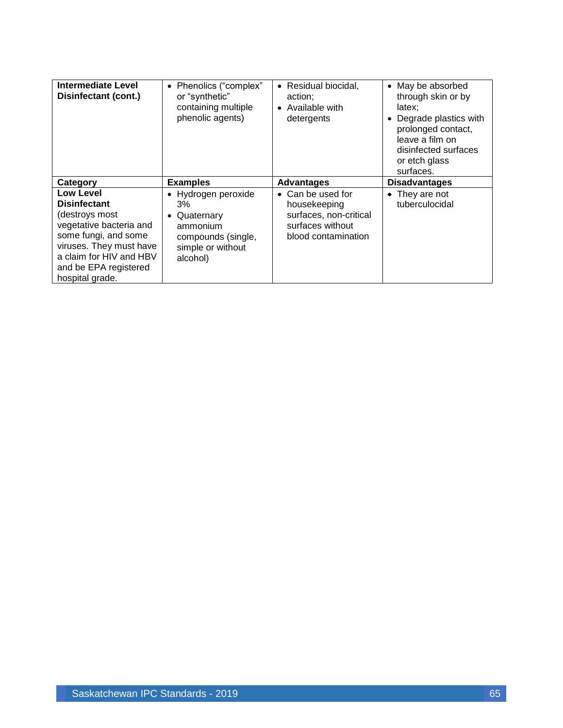| Intermediate Level<br>Disinfectant (cont.)                                                                                                                                                              | • Phenolics ("complex"<br>or "synthetic"<br>containing multiple<br>phenolic agents)                          | • Residual biocidal,<br>action;<br>Available with<br>$\bullet$<br>detergents                                   | May be absorbed<br>$\bullet$<br>through skin or by<br>latex:<br>Degrade plastics with<br>$\bullet$<br>prolonged contact,<br>leave a film on<br>disinfected surfaces<br>or etch glass<br>surfaces. |
|---------------------------------------------------------------------------------------------------------------------------------------------------------------------------------------------------------|--------------------------------------------------------------------------------------------------------------|----------------------------------------------------------------------------------------------------------------|---------------------------------------------------------------------------------------------------------------------------------------------------------------------------------------------------|
| Category                                                                                                                                                                                                | <b>Examples</b>                                                                                              | <b>Advantages</b>                                                                                              | <b>Disadvantages</b>                                                                                                                                                                              |
| Low Level<br><b>Disinfectant</b><br>(destroys most<br>vegetative bacteria and<br>some fungi, and some<br>viruses. They must have<br>a claim for HIV and HBV<br>and be EPA registered<br>hospital grade. | • Hydrogen peroxide<br>3%<br>• Quaternary<br>ammonium<br>compounds (single,<br>simple or without<br>alcohol) | $\bullet$ Can be used for<br>housekeeping<br>surfaces, non-critical<br>surfaces without<br>blood contamination | $\bullet$ They are not<br>tuberculocidal                                                                                                                                                          |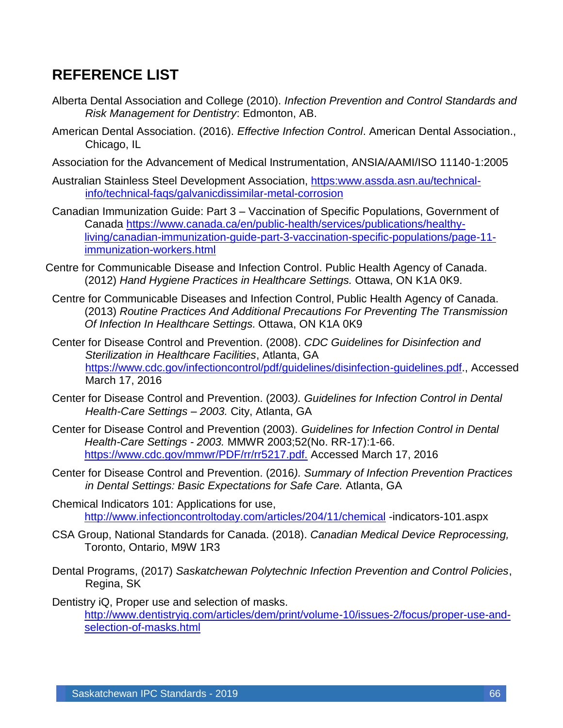# <span id="page-66-0"></span>**REFERENCE LIST**

- Alberta Dental Association and College (2010). *Infection Prevention and Control Standards and Risk Management for Dentistry*: Edmonton, AB.
- American Dental Association. (2016). *Effective Infection Control*. American Dental Association., Chicago, IL
- Association for the Advancement of Medical Instrumentation, ANSIA/AAMI/ISO 11140-1:2005
- Australian Stainless Steel Development Association, [https:www.assda.asn.au/technical](file://///boniface/Users/wessel/Dropbox/SK%20Dental%20Assoc/1)%20Australian%20Stainless%20Steel%20Development%20Association,%20https:www.assda.asn.au/technical-info/technical-faqs/galvanicdissimilar-metal-corrosion)[info/technical-faqs/galvanicdissimilar-metal-corrosion](file://///boniface/Users/wessel/Dropbox/SK%20Dental%20Assoc/1)%20Australian%20Stainless%20Steel%20Development%20Association,%20https:www.assda.asn.au/technical-info/technical-faqs/galvanicdissimilar-metal-corrosion)
- Canadian Immunization Guide: Part 3 Vaccination of Specific Populations, Government of Canada [https://www.canada.ca/en/public-health/services/publications/healthy](https://www.canada.ca/en/public-health/services/publications/healthy-living/canadian-immunization-guide-part-3-vaccination-specific-populations/page-11-immunization-workers.html)[living/canadian-immunization-guide-part-3-vaccination-specific-populations/page-11](https://www.canada.ca/en/public-health/services/publications/healthy-living/canadian-immunization-guide-part-3-vaccination-specific-populations/page-11-immunization-workers.html) [immunization-workers.html](https://www.canada.ca/en/public-health/services/publications/healthy-living/canadian-immunization-guide-part-3-vaccination-specific-populations/page-11-immunization-workers.html)
- Centre for Communicable Disease and Infection Control. Public Health Agency of Canada. (2012) *Hand Hygiene Practices in Healthcare Settings.* Ottawa, ON K1A 0K9.
- Centre for Communicable Diseases and Infection Control, Public Health Agency of Canada. (2013) *Routine Practices And Additional Precautions For Preventing The Transmission Of Infection In Healthcare Settings.* Ottawa, ON K1A 0K9
- Center for Disease Control and Prevention. (2008). *CDC Guidelines for Disinfection and Sterilization in Healthcare Facilities*, Atlanta, GA [https://www.cdc.gov/infectioncontrol/pdf/guidelines/disinfection-guidelines.pdf.](https://www.cdc.gov/infectioncontrol/pdf/guidelines/disinfection-guidelines.pdf), Accessed March 17, 2016
- Center for Disease Control and Prevention. (2003*). Guidelines for Infection Control in Dental Health-Care Settings – 2003.* City, Atlanta, GA
- Center for Disease Control and Prevention (2003). *Guidelines for Infection Control in Dental Health-Care Settings - 2003.* MMWR 2003;52(No. RR-17):1-66. <https://www.cdc.gov/mmwr/PDF/rr/rr5217.pdf.> Accessed March 17, 2016
- Center for Disease Control and Prevention. (2016*). Summary of Infection Prevention Practices in Dental Settings: Basic Expectations for Safe Care.* Atlanta, GA
- Chemical Indicators 101: Applications for use, <http://www.infectioncontroltoday.com/articles/204/11/chemical> -indicators-101.aspx
- CSA Group, National Standards for Canada. (2018). *Canadian Medical Device Reprocessing,* Toronto, Ontario, M9W 1R3
- Dental Programs, (2017) *Saskatchewan Polytechnic Infection Prevention and Control Policies*, Regina, SK

Dentistry iQ, Proper use and selection of masks. [http://www.dentistryiq.com/articles/dem/print/volume-10/issues-2/focus/proper-use-and](http://www.dentistryiq.com/articles/dem/print/volume-10/issues-2/focus/proper-use-and-selection-of-masks.html)[selection-of-masks.html](http://www.dentistryiq.com/articles/dem/print/volume-10/issues-2/focus/proper-use-and-selection-of-masks.html)